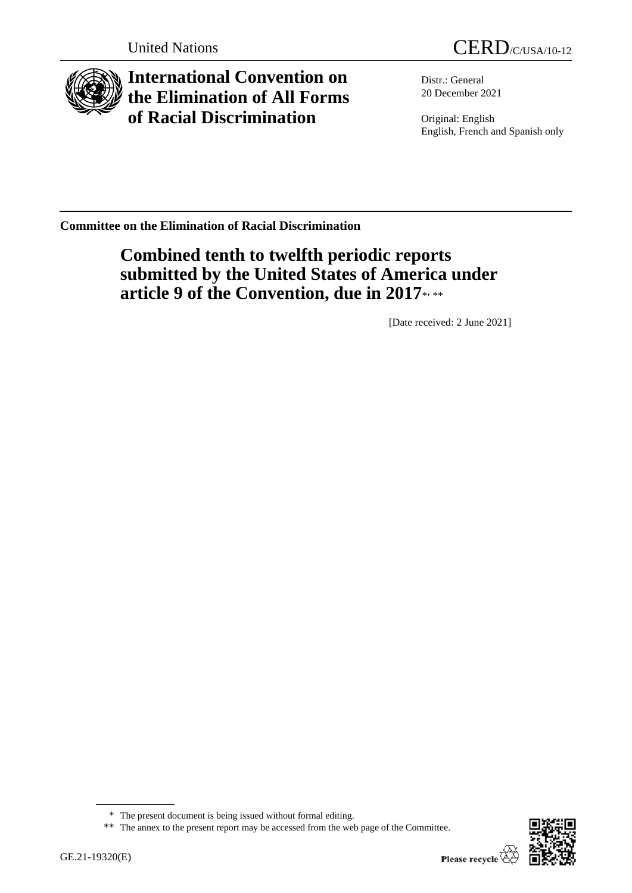

**International Convention on the Elimination of All Forms of Racial Discrimination**

Distr.: General 20 December 2021

Original: English English, French and Spanish only

**Committee on the Elimination of Racial Discrimination**

# **Combined tenth to twelfth periodic reports submitted by the United States of America under**  article 9 of the Convention, due in 2017\*\*\*\*

[Date received: 2 June 2021]



<sup>\*</sup> The present document is being issued without formal editing.

<sup>\*\*</sup> The annex to the present report may be accessed from the web page of the Committee.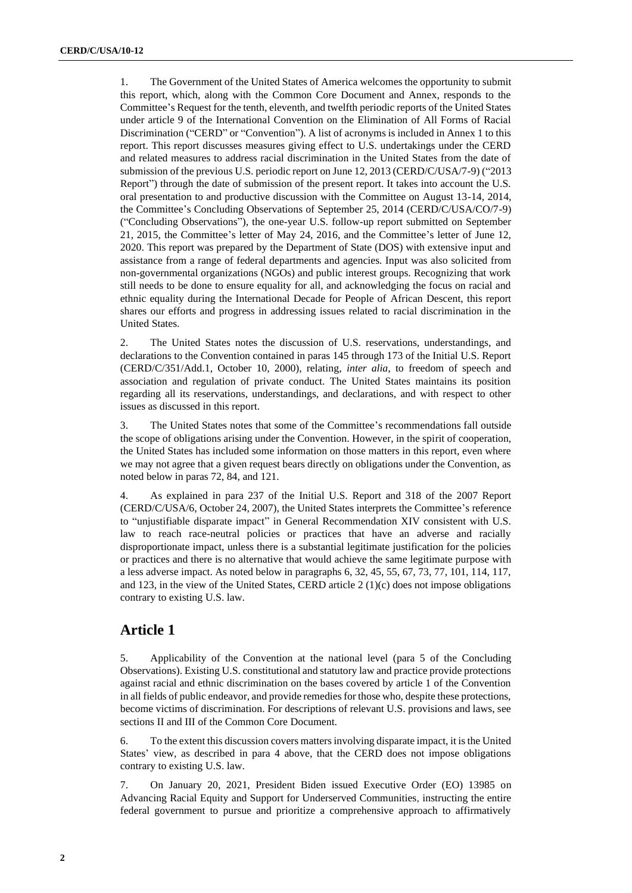1. The Government of the United States of America welcomes the opportunity to submit this report, which, along with the Common Core Document and Annex, responds to the Committee's Request for the tenth, eleventh, and twelfth periodic reports of the United States under article 9 of the International Convention on the Elimination of All Forms of Racial Discrimination ("CERD" or "Convention"). A list of acronyms is included in Annex 1 to this report. This report discusses measures giving effect to U.S. undertakings under the CERD and related measures to address racial discrimination in the United States from the date of submission of the previous U.S. periodic report on June 12, 2013 (CERD/C/USA/7-9) ("2013 Report") through the date of submission of the present report. It takes into account the U.S. oral presentation to and productive discussion with the Committee on August 13-14, 2014, the Committee's Concluding Observations of September 25, 2014 (CERD/C/USA/CO/7-9) ("Concluding Observations"), the one-year U.S. follow-up report submitted on September 21, 2015, the Committee's letter of May 24, 2016, and the Committee's letter of June 12, 2020. This report was prepared by the Department of State (DOS) with extensive input and assistance from a range of federal departments and agencies. Input was also solicited from non-governmental organizations (NGOs) and public interest groups. Recognizing that work still needs to be done to ensure equality for all, and acknowledging the focus on racial and ethnic equality during the International Decade for People of African Descent, this report shares our efforts and progress in addressing issues related to racial discrimination in the United States.

2. The United States notes the discussion of U.S. reservations, understandings, and declarations to the Convention contained in paras 145 through 173 of the Initial U.S. Report (CERD/C/351/Add.1, October 10, 2000), relating, *inter alia*, to freedom of speech and association and regulation of private conduct. The United States maintains its position regarding all its reservations, understandings, and declarations, and with respect to other issues as discussed in this report.

3. The United States notes that some of the Committee's recommendations fall outside the scope of obligations arising under the Convention. However, in the spirit of cooperation, the United States has included some information on those matters in this report, even where we may not agree that a given request bears directly on obligations under the Convention, as noted below in paras 72, 84, and 121.

4. As explained in para 237 of the Initial U.S. Report and 318 of the 2007 Report (CERD/C/USA/6, October 24, 2007), the United States interprets the Committee's reference to "unjustifiable disparate impact" in General Recommendation XIV consistent with U.S. law to reach race-neutral policies or practices that have an adverse and racially disproportionate impact, unless there is a substantial legitimate justification for the policies or practices and there is no alternative that would achieve the same legitimate purpose with a less adverse impact. As noted below in paragraphs 6, 32, 45, 55, 67, 73, 77, 101, 114, 117, and 123, in the view of the United States, CERD article 2 (1)(c) does not impose obligations contrary to existing U.S. law.

## **Article 1**

5. Applicability of the Convention at the national level (para 5 of the Concluding Observations). Existing U.S. constitutional and statutory law and practice provide protections against racial and ethnic discrimination on the bases covered by article 1 of the Convention in all fields of public endeavor, and provide remedies for those who, despite these protections, become victims of discrimination. For descriptions of relevant U.S. provisions and laws, see sections II and III of the Common Core Document.

6. To the extent this discussion covers matters involving disparate impact, it is the United States' view, as described in para 4 above, that the CERD does not impose obligations contrary to existing U.S. law.

7. On January 20, 2021, President Biden issued Executive Order (EO) 13985 on Advancing Racial Equity and Support for Underserved Communities, instructing the entire federal government to pursue and prioritize a comprehensive approach to affirmatively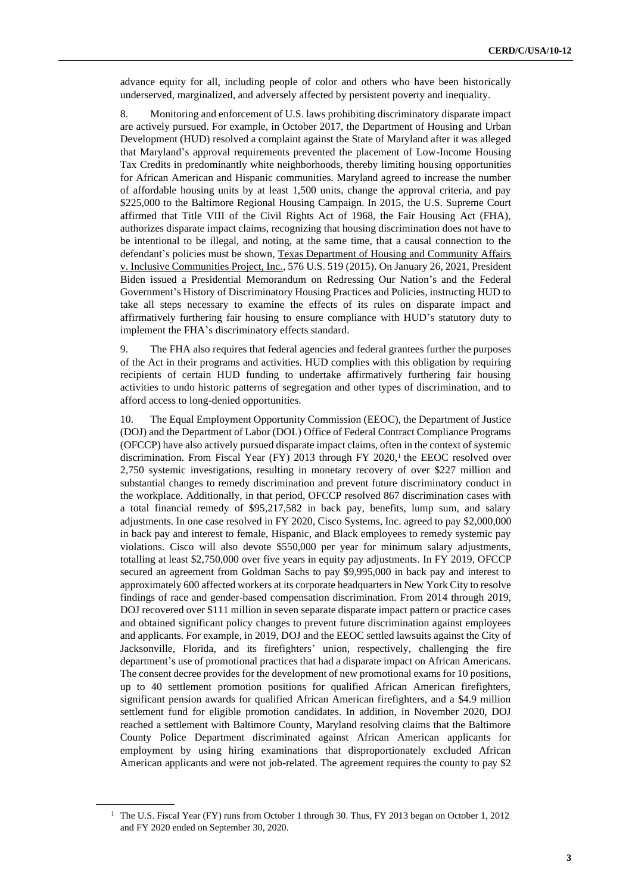advance equity for all, including people of color and others who have been historically underserved, marginalized, and adversely affected by persistent poverty and inequality.

8. Monitoring and enforcement of U.S. laws prohibiting discriminatory disparate impact are actively pursued. For example, in October 2017, the Department of Housing and Urban Development (HUD) resolved a complaint against the State of Maryland after it was alleged that Maryland's approval requirements prevented the placement of Low-Income Housing Tax Credits in predominantly white neighborhoods, thereby limiting housing opportunities for African American and Hispanic communities. Maryland agreed to increase the number of affordable housing units by at least 1,500 units, change the approval criteria, and pay \$225,000 to the Baltimore Regional Housing Campaign. In 2015, the U.S. Supreme Court affirmed that Title VIII of the Civil Rights Act of 1968, the Fair Housing Act (FHA), authorizes disparate impact claims, recognizing that housing discrimination does not have to be intentional to be illegal, and noting, at the same time, that a causal connection to the defendant's policies must be shown, Texas Department of Housing and Community Affairs v. Inclusive Communities Project, Inc., 576 U.S. 519 (2015). On January 26, 2021, President Biden issued a Presidential Memorandum on Redressing Our Nation's and the Federal Government's History of Discriminatory Housing Practices and Policies, instructing HUD to take all steps necessary to examine the effects of its rules on disparate impact and affirmatively furthering fair housing to ensure compliance with HUD's statutory duty to implement the FHA's discriminatory effects standard.

9. The FHA also requires that federal agencies and federal grantees further the purposes of the Act in their programs and activities. HUD complies with this obligation by requiring recipients of certain HUD funding to undertake affirmatively furthering fair housing activities to undo historic patterns of segregation and other types of discrimination, and to afford access to long-denied opportunities.

10. The Equal Employment Opportunity Commission (EEOC), the Department of Justice (DOJ) and the Department of Labor (DOL) Office of Federal Contract Compliance Programs (OFCCP) have also actively pursued disparate impact claims, often in the context of systemic discrimination. From Fiscal Year (FY) 2013 through FY 2020, $\frac{1}{1}$  the EEOC resolved over 2,750 systemic investigations, resulting in monetary recovery of over \$227 million and substantial changes to remedy discrimination and prevent future discriminatory conduct in the workplace. Additionally, in that period, OFCCP resolved 867 discrimination cases with a total financial remedy of \$95,217,582 in back pay, benefits, lump sum, and salary adjustments. In one case resolved in FY 2020, Cisco Systems, Inc. agreed to pay \$2,000,000 in back pay and interest to female, Hispanic, and Black employees to remedy systemic pay violations. Cisco will also devote \$550,000 per year for minimum salary adjustments, totalling at least \$2,750,000 over five years in equity pay adjustments. In FY 2019, OFCCP secured an agreement from Goldman Sachs to pay \$9,995,000 in back pay and interest to approximately 600 affected workers at its corporate headquarters in New York City to resolve findings of race and gender-based compensation discrimination. From 2014 through 2019, DOJ recovered over \$111 million in seven separate disparate impact pattern or practice cases and obtained significant policy changes to prevent future discrimination against employees and applicants. For example, in 2019, DOJ and the EEOC settled lawsuits against the City of Jacksonville, Florida, and its firefighters' union, respectively, challenging the fire department's use of promotional practices that had a disparate impact on African Americans. The consent decree provides for the development of new promotional exams for 10 positions, up to 40 settlement promotion positions for qualified African American firefighters, significant pension awards for qualified African American firefighters, and a \$4.9 million settlement fund for eligible promotion candidates. In addition, in November 2020, DOJ reached a settlement with Baltimore County, Maryland resolving claims that the Baltimore County Police Department discriminated against African American applicants for employment by using hiring examinations that disproportionately excluded African American applicants and were not job-related. The agreement requires the county to pay \$2

<sup>1</sup> The U.S. Fiscal Year (FY) runs from October 1 through 30. Thus, FY 2013 began on October 1, 2012 and FY 2020 ended on September 30, 2020.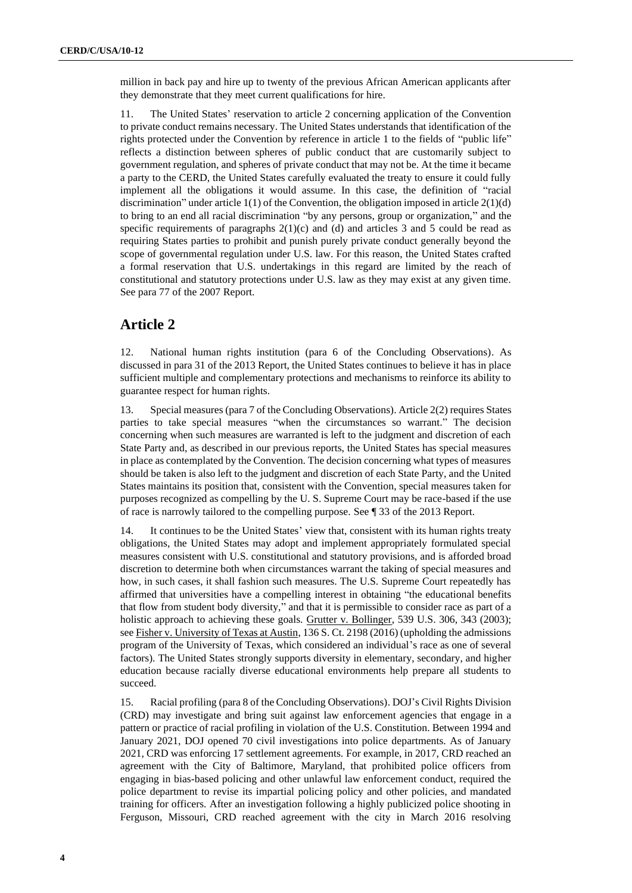million in back pay and hire up to twenty of the previous African American applicants after they demonstrate that they meet current qualifications for hire.

11. The United States' reservation to article 2 concerning application of the Convention to private conduct remains necessary. The United States understands that identification of the rights protected under the Convention by reference in article 1 to the fields of "public life" reflects a distinction between spheres of public conduct that are customarily subject to government regulation, and spheres of private conduct that may not be. At the time it became a party to the CERD, the United States carefully evaluated the treaty to ensure it could fully implement all the obligations it would assume. In this case, the definition of "racial discrimination" under article 1(1) of the Convention, the obligation imposed in article 2(1)(d) to bring to an end all racial discrimination "by any persons, group or organization," and the specific requirements of paragraphs  $2(1)(c)$  and (d) and articles 3 and 5 could be read as requiring States parties to prohibit and punish purely private conduct generally beyond the scope of governmental regulation under U.S. law. For this reason, the United States crafted a formal reservation that U.S. undertakings in this regard are limited by the reach of constitutional and statutory protections under U.S. law as they may exist at any given time. See para 77 of the 2007 Report.

## **Article 2**

12. National human rights institution (para 6 of the Concluding Observations). As discussed in para 31 of the 2013 Report, the United States continues to believe it has in place sufficient multiple and complementary protections and mechanisms to reinforce its ability to guarantee respect for human rights.

13. Special measures (para 7 of the Concluding Observations). Article 2(2) requires States parties to take special measures "when the circumstances so warrant." The decision concerning when such measures are warranted is left to the judgment and discretion of each State Party and, as described in our previous reports, the United States has special measures in place as contemplated by the Convention. The decision concerning what types of measures should be taken is also left to the judgment and discretion of each State Party, and the United States maintains its position that, consistent with the Convention, special measures taken for purposes recognized as compelling by the U. S. Supreme Court may be race-based if the use of race is narrowly tailored to the compelling purpose. See ¶ 33 of the 2013 Report.

14. It continues to be the United States' view that, consistent with its human rights treaty obligations, the United States may adopt and implement appropriately formulated special measures consistent with U.S. constitutional and statutory provisions, and is afforded broad discretion to determine both when circumstances warrant the taking of special measures and how, in such cases, it shall fashion such measures. The U.S. Supreme Court repeatedly has affirmed that universities have a compelling interest in obtaining "the educational benefits that flow from student body diversity," and that it is permissible to consider race as part of a holistic approach to achieving these goals. Grutter v. Bollinger, 539 U.S. 306, 343 (2003); see Fisher v. University of Texas at Austin, 136 S. Ct. 2198 (2016) (upholding the admissions program of the University of Texas, which considered an individual's race as one of several factors). The United States strongly supports diversity in elementary, secondary, and higher education because racially diverse educational environments help prepare all students to succeed.

15. Racial profiling (para 8 of the Concluding Observations). DOJ's Civil Rights Division (CRD) may investigate and bring suit against law enforcement agencies that engage in a pattern or practice of racial profiling in violation of the U.S. Constitution. Between 1994 and January 2021, DOJ opened 70 civil investigations into police departments. As of January 2021, CRD was enforcing 17 settlement agreements. For example, in 2017, CRD reached an agreement with the City of Baltimore, Maryland, that prohibited police officers from engaging in bias-based policing and other unlawful law enforcement conduct, required the police department to revise its impartial policing policy and other policies, and mandated training for officers. After an investigation following a highly publicized police shooting in Ferguson, Missouri, CRD reached agreement with the city in March 2016 resolving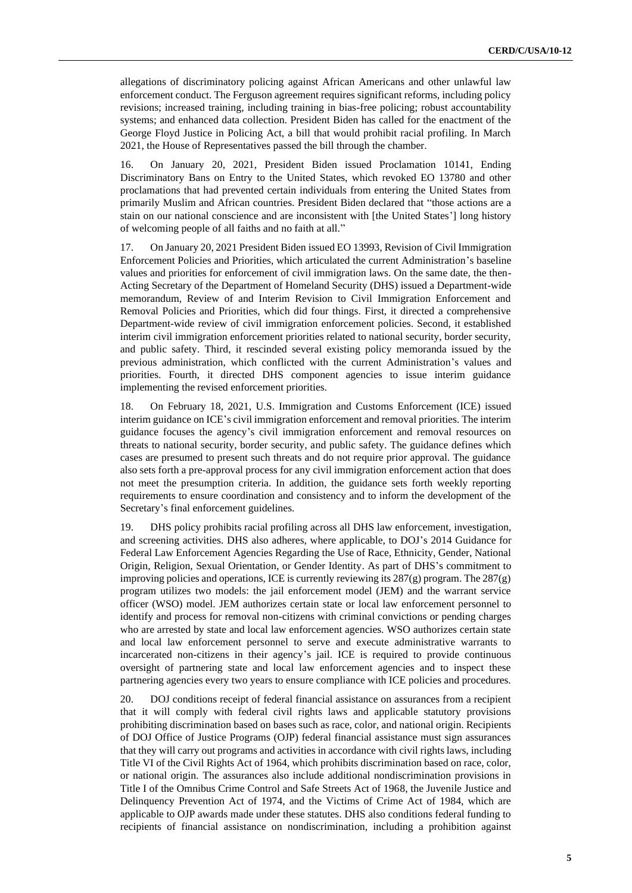allegations of discriminatory policing against African Americans and other unlawful law enforcement conduct. The Ferguson agreement requires significant reforms, including policy revisions; increased training, including training in bias-free policing; robust accountability systems; and enhanced data collection. President Biden has called for the enactment of the George Floyd Justice in Policing Act, a bill that would prohibit racial profiling. In March 2021, the House of Representatives passed the bill through the chamber.

16. On January 20, 2021, President Biden issued Proclamation 10141, Ending Discriminatory Bans on Entry to the United States, which revoked EO 13780 and other proclamations that had prevented certain individuals from entering the United States from primarily Muslim and African countries. President Biden declared that "those actions are a stain on our national conscience and are inconsistent with [the United States'] long history of welcoming people of all faiths and no faith at all."

17. On January 20, 2021 President Biden issued EO 13993, Revision of Civil Immigration Enforcement Policies and Priorities, which articulated the current Administration's baseline values and priorities for enforcement of civil immigration laws. On the same date, the then-Acting Secretary of the Department of Homeland Security (DHS) issued a Department-wide memorandum, Review of and Interim Revision to Civil Immigration Enforcement and Removal Policies and Priorities, which did four things. First, it directed a comprehensive Department-wide review of civil immigration enforcement policies. Second, it established interim civil immigration enforcement priorities related to national security, border security, and public safety. Third, it rescinded several existing policy memoranda issued by the previous administration, which conflicted with the current Administration's values and priorities. Fourth, it directed DHS component agencies to issue interim guidance implementing the revised enforcement priorities.

18. On February 18, 2021, U.S. Immigration and Customs Enforcement (ICE) issued interim guidance on ICE's civil immigration enforcement and removal priorities. The interim guidance focuses the agency's civil immigration enforcement and removal resources on threats to national security, border security, and public safety. The guidance defines which cases are presumed to present such threats and do not require prior approval. The guidance also sets forth a pre-approval process for any civil immigration enforcement action that does not meet the presumption criteria. In addition, the guidance sets forth weekly reporting requirements to ensure coordination and consistency and to inform the development of the Secretary's final enforcement guidelines.

19. DHS policy prohibits racial profiling across all DHS law enforcement, investigation, and screening activities. DHS also adheres, where applicable, to DOJ's 2014 Guidance for Federal Law Enforcement Agencies Regarding the Use of Race, Ethnicity, Gender, National Origin, Religion, Sexual Orientation, or Gender Identity. As part of DHS's commitment to improving policies and operations, ICE is currently reviewing its  $287(g)$  program. The  $287(g)$ program utilizes two models: the jail enforcement model (JEM) and the warrant service officer (WSO) model. JEM authorizes certain state or local law enforcement personnel to identify and process for removal non-citizens with criminal convictions or pending charges who are arrested by state and local law enforcement agencies. WSO authorizes certain state and local law enforcement personnel to serve and execute administrative warrants to incarcerated non-citizens in their agency's jail. ICE is required to provide continuous oversight of partnering state and local law enforcement agencies and to inspect these partnering agencies every two years to ensure compliance with ICE policies and procedures.

20. DOJ conditions receipt of federal financial assistance on assurances from a recipient that it will comply with federal civil rights laws and applicable statutory provisions prohibiting discrimination based on bases such as race, color, and national origin. Recipients of DOJ Office of Justice Programs (OJP) federal financial assistance must sign assurances that they will carry out programs and activities in accordance with civil rights laws, including Title VI of the Civil Rights Act of 1964, which prohibits discrimination based on race, color, or national origin. The assurances also include additional nondiscrimination provisions in Title I of the Omnibus Crime Control and Safe Streets Act of 1968, the Juvenile Justice and Delinquency Prevention Act of 1974, and the Victims of Crime Act of 1984, which are applicable to OJP awards made under these statutes. DHS also conditions federal funding to recipients of financial assistance on nondiscrimination, including a prohibition against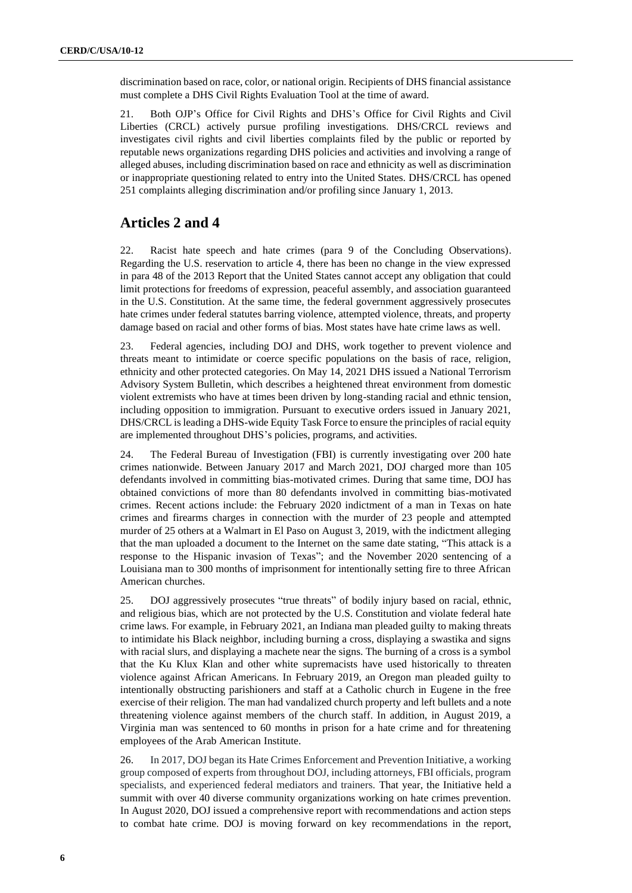discrimination based on race, color, or national origin. Recipients of DHS financial assistance must complete a DHS Civil Rights Evaluation Tool at the time of award.

21. Both OJP's Office for Civil Rights and DHS's Office for Civil Rights and Civil Liberties (CRCL) actively pursue profiling investigations. DHS/CRCL reviews and investigates civil rights and civil liberties complaints filed by the public or reported by reputable news organizations regarding DHS policies and activities and involving a range of alleged abuses, including discrimination based on race and ethnicity as well as discrimination or inappropriate questioning related to entry into the United States. DHS/CRCL has opened 251 complaints alleging discrimination and/or profiling since January 1, 2013.

# **Articles 2 and 4**

22. Racist hate speech and hate crimes (para 9 of the Concluding Observations). Regarding the U.S. reservation to article 4, there has been no change in the view expressed in para 48 of the 2013 Report that the United States cannot accept any obligation that could limit protections for freedoms of expression, peaceful assembly, and association guaranteed in the U.S. Constitution. At the same time, the federal government aggressively prosecutes hate crimes under federal statutes barring violence, attempted violence, threats, and property damage based on racial and other forms of bias. Most states have hate crime laws as well.

23. Federal agencies, including DOJ and DHS, work together to prevent violence and threats meant to intimidate or coerce specific populations on the basis of race, religion, ethnicity and other protected categories. On May 14, 2021 DHS issued a National Terrorism Advisory System Bulletin, which describes a heightened threat environment from domestic violent extremists who have at times been driven by long-standing racial and ethnic tension, including opposition to immigration. Pursuant to executive orders issued in January 2021, DHS/CRCL is leading a DHS-wide Equity Task Force to ensure the principles of racial equity are implemented throughout DHS's policies, programs, and activities.

24. The Federal Bureau of Investigation (FBI) is currently investigating over 200 hate crimes nationwide. Between January 2017 and March 2021, DOJ charged more than 105 defendants involved in committing bias-motivated crimes. During that same time, DOJ has obtained convictions of more than 80 defendants involved in committing bias-motivated crimes. Recent actions include: the February 2020 indictment of a man in Texas on hate crimes and firearms charges in connection with the murder of 23 people and attempted murder of 25 others at a Walmart in El Paso on August 3, 2019, with the indictment alleging that the man uploaded a document to the Internet on the same date stating, "This attack is a response to the Hispanic invasion of Texas"; and the November 2020 sentencing of a Louisiana man to 300 months of imprisonment for intentionally setting fire to three African American churches.

25. DOJ aggressively prosecutes "true threats" of bodily injury based on racial, ethnic, and religious bias, which are not protected by the U.S. Constitution and violate federal hate crime laws. For example, in February 2021, an Indiana man pleaded guilty to making threats to intimidate his Black neighbor, including burning a cross, displaying a swastika and signs with racial slurs, and displaying a machete near the signs. The burning of a cross is a symbol that the Ku Klux Klan and other white supremacists have used historically to threaten violence against African Americans. In February 2019, an Oregon man pleaded guilty to intentionally obstructing parishioners and staff at a Catholic church in Eugene in the free exercise of their religion. The man had vandalized church property and left bullets and a note threatening violence against members of the church staff. In addition, in August 2019, a Virginia man was sentenced to 60 months in prison for a hate crime and for threatening employees of the Arab American Institute.

26. In 2017, DOJ began its Hate Crimes Enforcement and Prevention Initiative, a working group composed of experts from throughout DOJ, including attorneys, FBI officials, program specialists, and experienced federal mediators and trainers. That year, the Initiative held a summit with over 40 diverse community organizations working on hate crimes prevention. In August 2020, DOJ issued a comprehensive report with recommendations and action steps to combat hate crime. DOJ is moving forward on key recommendations in the report,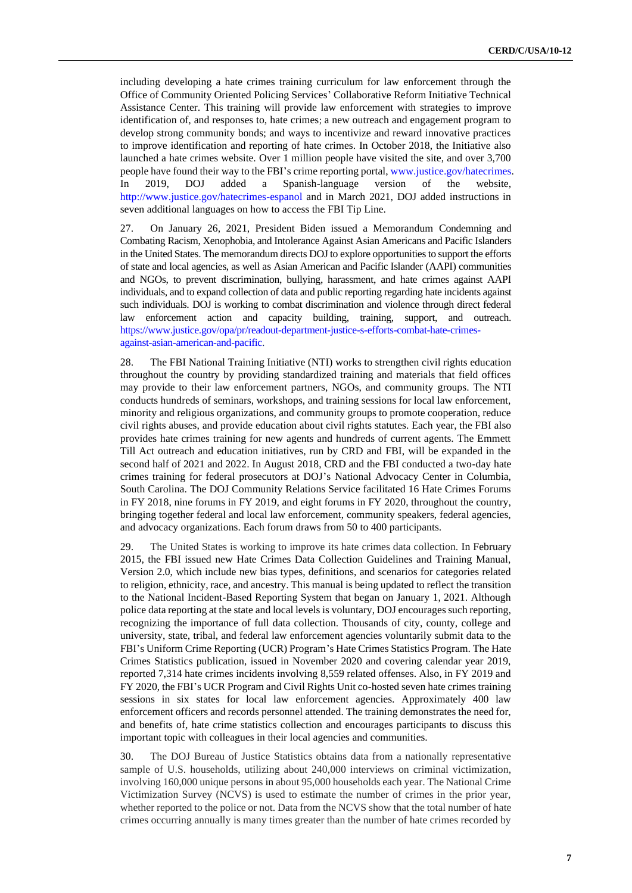including developing a hate crimes training curriculum for law enforcement through the Office of Community Oriented Policing Services' Collaborative Reform Initiative Technical Assistance Center. This training will provide law enforcement with strategies to improve identification of, and responses to, hate crimes; a new outreach and engagement program to develop strong community bonds; and ways to incentivize and reward innovative practices to improve identification and reporting of hate crimes. In October 2018, the Initiative also launched a hate crimes website. Over 1 million people have visited the site, and over 3,700 people have found their way to the FBI's crime reporting portal, [www.justice.gov/hatecrimes.](http://www.justice.gov/hatecrimes) In 2019, DOJ added a Spanish-language version of the website, <http://www.justice.gov/hatecrimes-espanol> and in March 2021, DOJ added instructions in seven additional languages on how to access the FBI Tip Line.

27. On January 26, 2021, President Biden issued a Memorandum Condemning and Combating Racism, Xenophobia, and Intolerance Against Asian Americans and Pacific Islanders in the United States. The memorandum directs DOJ to explore opportunities to support the efforts of state and local agencies, as well as Asian American and Pacific Islander (AAPI) communities and NGOs, to prevent discrimination, bullying, harassment, and hate crimes against AAPI individuals, and to expand collection of data and public reporting regarding hate incidents against such individuals. DOJ is working to combat discrimination and violence through direct federal law enforcement action and capacity building, training, support, and outreach. [https://www.justice.gov/opa/pr/readout-department-justice-s-efforts-combat-hate-crimes](https://www.justice.gov/opa/pr/readout-department-justice-s-efforts-combat-hate-crimes-against-asian-american-and-pacific)[against-asian-american-and-pacific.](https://www.justice.gov/opa/pr/readout-department-justice-s-efforts-combat-hate-crimes-against-asian-american-and-pacific)

28. The FBI National Training Initiative (NTI) works to strengthen civil rights education throughout the country by providing standardized training and materials that field offices may provide to their law enforcement partners, NGOs, and community groups. The NTI conducts hundreds of seminars, workshops, and training sessions for local law enforcement, minority and religious organizations, and community groups to promote cooperation, reduce civil rights abuses, and provide education about civil rights statutes. Each year, the FBI also provides hate crimes training for new agents and hundreds of current agents. The Emmett Till Act outreach and education initiatives, run by CRD and FBI, will be expanded in the second half of 2021 and 2022. In August 2018, CRD and the FBI conducted a two-day hate crimes training for federal prosecutors at DOJ's National Advocacy Center in Columbia, South Carolina. The DOJ Community Relations Service facilitated 16 Hate Crimes Forums in FY 2018, nine forums in FY 2019, and eight forums in FY 2020, throughout the country, bringing together federal and local law enforcement, community speakers, federal agencies, and advocacy organizations. Each forum draws from 50 to 400 participants.

29. The United States is working to improve its hate crimes data collection. In February 2015, the FBI issued new Hate Crimes Data Collection Guidelines and Training Manual, Version 2.0, which include new bias types, definitions, and scenarios for categories related to religion, ethnicity, race, and ancestry. This manual is being updated to reflect the transition to the National Incident-Based Reporting System that began on January 1, 2021. Although police data reporting at the state and local levels is voluntary, DOJ encourages such reporting, recognizing the importance of full data collection. Thousands of city, county, college and university, state, tribal, and federal law enforcement agencies voluntarily submit data to the FBI's Uniform Crime Reporting (UCR) Program's Hate Crimes Statistics Program. The Hate Crimes Statistics publication, issued in November 2020 and covering calendar year 2019, reported 7,314 hate crimes incidents involving 8,559 related offenses. Also, in FY 2019 and FY 2020, the FBI's UCR Program and Civil Rights Unit co-hosted seven hate crimes training sessions in six states for local law enforcement agencies. Approximately 400 law enforcement officers and records personnel attended. The training demonstrates the need for, and benefits of, hate crime statistics collection and encourages participants to discuss this important topic with colleagues in their local agencies and communities.

30. The DOJ Bureau of Justice Statistics obtains data from a nationally representative sample of U.S. households, utilizing about 240,000 interviews on criminal victimization, involving 160,000 unique persons in about 95,000 households each year. The National Crime Victimization Survey (NCVS) is used to estimate the number of crimes in the prior year, whether reported to the police or not. Data from the NCVS show that the total number of hate crimes occurring annually is many times greater than the number of hate crimes recorded by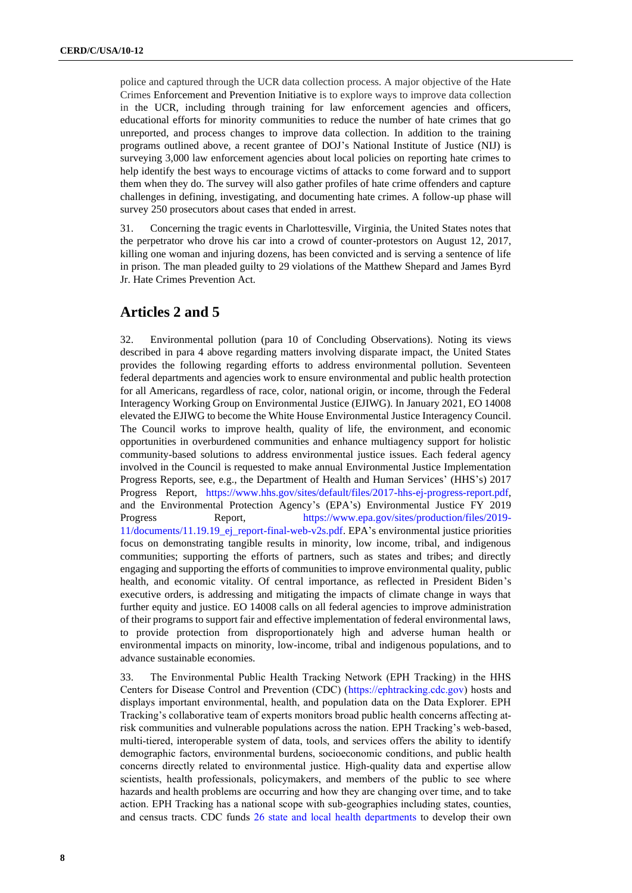police and captured through the UCR data collection process. A major objective of the Hate Crimes Enforcement and Prevention Initiative is to explore ways to improve data collection in the UCR, including through training for law enforcement agencies and officers, educational efforts for minority communities to reduce the number of hate crimes that go unreported, and process changes to improve data collection. In addition to the training programs outlined above, a recent grantee of DOJ's National Institute of Justice (NIJ) is surveying 3,000 law enforcement agencies about local policies on reporting hate crimes to help identify the best ways to encourage victims of attacks to come forward and to support them when they do. The survey will also gather profiles of hate crime offenders and capture challenges in defining, investigating, and documenting hate crimes. A follow-up phase will survey 250 prosecutors about cases that ended in arrest.

31. Concerning the tragic events in Charlottesville, Virginia, the United States notes that the perpetrator who drove his car into a crowd of counter-protestors on August 12, 2017, killing one woman and injuring dozens, has been convicted and is serving a sentence of life in prison. The man pleaded guilty to 29 violations of the Matthew Shepard and James Byrd Jr. Hate Crimes Prevention Act.

#### **Articles 2 and 5**

32. Environmental pollution (para 10 of Concluding Observations). Noting its views described in para 4 above regarding matters involving disparate impact, the United States provides the following regarding efforts to address environmental pollution. Seventeen federal departments and agencies work to ensure environmental and public health protection for all Americans, regardless of race, color, national origin, or income, through the Federal Interagency Working Group on Environmental Justice (EJIWG). In January 2021, EO 14008 elevated the EJIWG to become the White House Environmental Justice Interagency Council. The Council works to improve health, quality of life, the environment, and economic opportunities in overburdened communities and enhance multiagency support for holistic community-based solutions to address environmental justice issues. Each federal agency involved in the Council is requested to make annual Environmental Justice Implementation Progress Reports, see, e.g., the Department of Health and Human Services' (HHS's) 2017 Progress Report, [https://www.hhs.gov/sites/default/files/2017-hhs-ej-progress-report.pdf,](https://www.hhs.gov/sites/default/files/2017-hhs-ej-progress-report.pdf) and the Environmental Protection Agency's (EPA's) Environmental Justice FY 2019 Progress Report, [https://www.epa.gov/sites/production/files/2019-](https://www.epa.gov/sites/production/files/2019-11/documents/11.19.19_ej_report-final-web-v2s.pdf) [11/documents/11.19.19\\_ej\\_report-final-web-v2s.pdf.](https://www.epa.gov/sites/production/files/2019-11/documents/11.19.19_ej_report-final-web-v2s.pdf) EPA's environmental justice priorities focus on demonstrating tangible results in minority, low income, tribal, and indigenous communities; supporting the efforts of partners, such as states and tribes; and directly engaging and supporting the efforts of communities to improve environmental quality, public health, and economic vitality. Of central importance, as reflected in President Biden's executive orders, is addressing and mitigating the impacts of climate change in ways that further equity and justice. EO 14008 calls on all federal agencies to improve administration of their programs to support fair and effective implementation of federal environmental laws, to provide protection from disproportionately high and adverse human health or environmental impacts on minority, low-income, tribal and indigenous populations, and to advance sustainable economies.

33. The Environmental Public Health Tracking Network (EPH Tracking) in the HHS Centers for Disease Control and Prevention (CDC) [\(https://ephtracking.cdc.gov\)](https://ephtracking.cdc.gov/) hosts and displays important environmental, health, and population data on the Data Explorer. EPH Tracking's collaborative team of experts monitors broad public health concerns affecting atrisk communities and vulnerable populations across the nation. EPH Tracking's web-based, multi-tiered, interoperable system of data, tools, and services offers the ability to identify demographic factors, environmental burdens, socioeconomic conditions, and public health concerns directly related to environmental justice. High-quality data and expertise allow scientists, health professionals, policymakers, and members of the public to see where hazards and health problems are occurring and how they are changing over time, and to take action. EPH Tracking has a national scope with sub-geographies including states, counties, and census tracts. CDC funds [26 state and local health departments](https://www.cdc.gov/nceh/tracking/grants.htm) to develop their own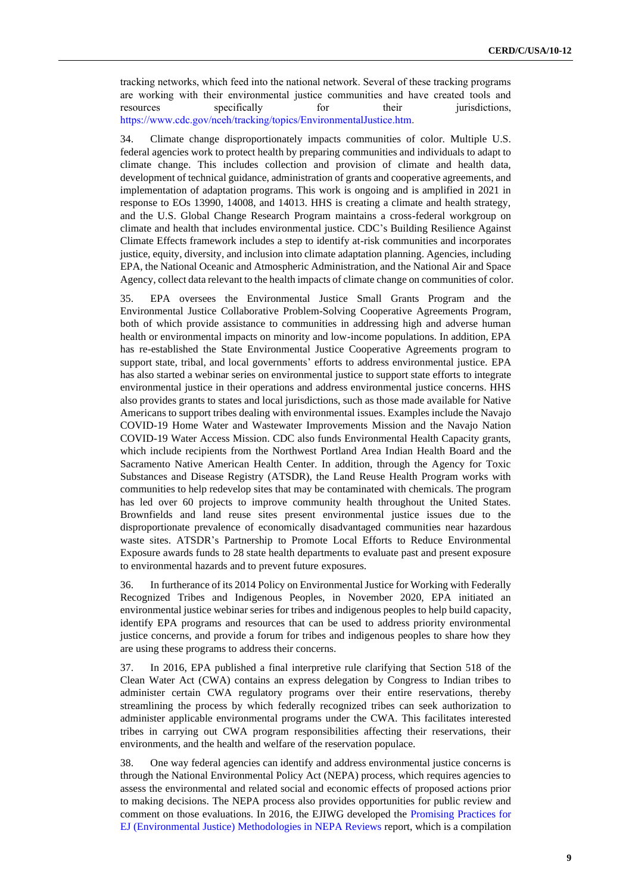tracking networks, which feed into the national network. Several of these tracking programs are working with their environmental justice communities and have created tools and resources specifically for their jurisdictions, <https://www.cdc.gov/nceh/tracking/topics/EnvironmentalJustice.htm>.

34. Climate change disproportionately impacts communities of color. Multiple U.S. federal agencies work to protect health by preparing communities and individuals to adapt to climate change. This includes collection and provision of climate and health data, development of technical guidance, administration of grants and cooperative agreements, and implementation of adaptation programs. This work is ongoing and is amplified in 2021 in response to EOs 13990, 14008, and 14013. HHS is creating a climate and health strategy, and the U.S. Global Change Research Program maintains a cross-federal workgroup on climate and health that includes environmental justice. CDC's Building Resilience Against Climate Effects framework includes a step to identify at-risk communities and incorporates justice, equity, diversity, and inclusion into climate adaptation planning. Agencies, including EPA, the National Oceanic and Atmospheric Administration, and the National Air and Space Agency, collect data relevant to the health impacts of climate change on communities of color.

35. EPA oversees the Environmental Justice Small Grants Program and the Environmental Justice Collaborative Problem-Solving Cooperative Agreements Program, both of which provide assistance to communities in addressing high and adverse human health or environmental impacts on minority and low-income populations. In addition, EPA has re-established the State Environmental Justice Cooperative Agreements program to support state, tribal, and local governments' efforts to address environmental justice. EPA has also started a webinar series on environmental justice to support state efforts to integrate environmental justice in their operations and address environmental justice concerns. HHS also provides grants to states and local jurisdictions, such as those made available for Native Americans to support tribes dealing with environmental issues. Examples include the Navajo COVID-19 Home Water and Wastewater Improvements Mission and the Navajo Nation COVID-19 Water Access Mission. CDC also funds Environmental Health Capacity grants, which include recipients from the Northwest Portland Area Indian Health Board and the Sacramento Native American Health Center. In addition, through the Agency for Toxic Substances and Disease Registry (ATSDR), the Land Reuse Health Program works with communities to help redevelop sites that may be contaminated with chemicals. The program has led over 60 projects to improve community health throughout the United States. Brownfields and land reuse sites present environmental justice issues due to the disproportionate prevalence of economically disadvantaged communities near hazardous waste sites. ATSDR's Partnership to Promote Local Efforts to Reduce Environmental Exposure awards funds to 28 state health departments to evaluate past and present exposure to environmental hazards and to prevent future exposures.

36. In furtherance of its 2014 Policy on Environmental Justice for Working with Federally Recognized Tribes and Indigenous Peoples, in November 2020, EPA initiated an environmental justice webinar series for tribes and indigenous peoples to help build capacity, identify EPA programs and resources that can be used to address priority environmental justice concerns, and provide a forum for tribes and indigenous peoples to share how they are using these programs to address their concerns.

37. In 2016, EPA published a final interpretive rule clarifying that Section 518 of the Clean Water Act (CWA) contains an express delegation by Congress to Indian tribes to administer certain CWA regulatory programs over their entire reservations, thereby streamlining the process by which federally recognized tribes can seek authorization to administer applicable environmental programs under the CWA. This facilitates interested tribes in carrying out CWA program responsibilities affecting their reservations, their environments, and the health and welfare of the reservation populace.

38. One way federal agencies can identify and address environmental justice concerns is through the National Environmental Policy Act (NEPA) process, which requires agencies to assess the environmental and related social and economic effects of proposed actions prior to making decisions. The NEPA process also provides opportunities for public review and comment on those evaluations. In 2016, the EJIWG developed the [Promising Practices for](https://www.epa.gov/sites/production/files/2016-08/documents/nepa_promising_practices_document_2016.pdf)  [EJ \(Environmental Justice\) Methodologies in NEPA Reviews](https://www.epa.gov/sites/production/files/2016-08/documents/nepa_promising_practices_document_2016.pdf) report, which is a compilation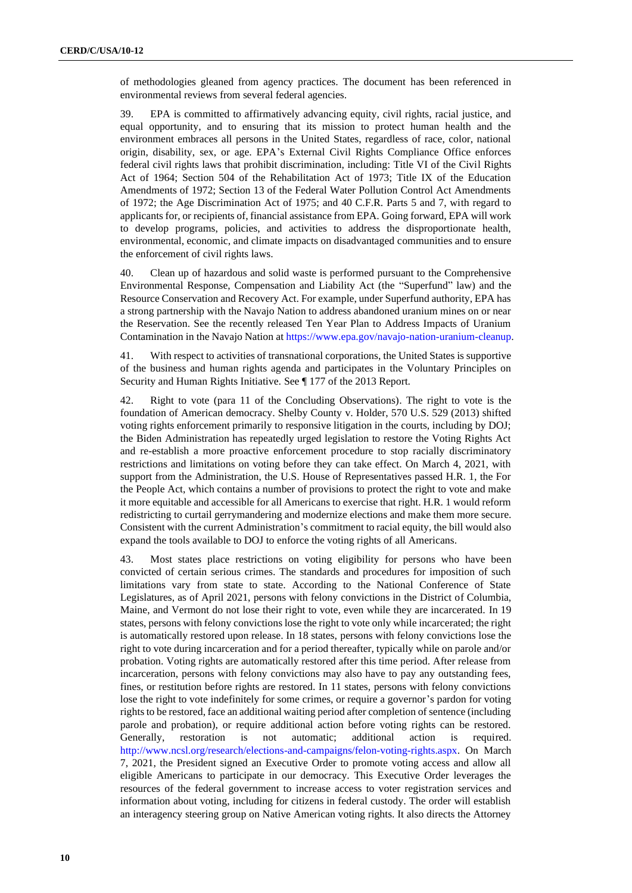of methodologies gleaned from agency practices. The document has been referenced in environmental reviews from several federal agencies.

39. EPA is committed to affirmatively advancing equity, civil rights, racial justice, and equal opportunity, and to ensuring that its mission to protect human health and the environment embraces all persons in the United States, regardless of race, color, national origin, disability, sex, or age. EPA's External Civil Rights Compliance Office enforces federal civil rights laws that prohibit discrimination, including: Title VI of the Civil Rights Act of 1964; Section 504 of the Rehabilitation Act of 1973; Title IX of the Education Amendments of 1972; Section 13 of the Federal Water Pollution Control Act Amendments of 1972; the Age Discrimination Act of 1975; and 40 C.F.R. Parts 5 and 7, with regard to applicants for, or recipients of, financial assistance from EPA. Going forward, EPA will work to develop programs, policies, and activities to address the disproportionate health, environmental, economic, and climate impacts on disadvantaged communities and to ensure the enforcement of civil rights laws.

40. Clean up of hazardous and solid waste is performed pursuant to the Comprehensive Environmental Response, Compensation and Liability Act (the "Superfund" law) and the Resource Conservation and Recovery Act. For example, under Superfund authority, EPA has a strong partnership with the Navajo Nation to address abandoned uranium mines on or near the Reservation. See the recently released Ten Year Plan to Address Impacts of Uranium Contamination in the Navajo Nation at [https://www.epa.gov/navajo-nation-uranium-cleanup.](https://www.epa.gov/navajo-nation-uranium-cleanup)

41. With respect to activities of transnational corporations, the United States is supportive of the business and human rights agenda and participates in the Voluntary Principles on Security and Human Rights Initiative. See ¶ 177 of the 2013 Report.

42. Right to vote (para 11 of the Concluding Observations). The right to vote is the foundation of American democracy. Shelby County v. Holder, 570 U.S. 529 (2013) shifted voting rights enforcement primarily to responsive litigation in the courts, including by DOJ; the Biden Administration has repeatedly urged legislation to restore the Voting Rights Act and re-establish a more proactive enforcement procedure to stop racially discriminatory restrictions and limitations on voting before they can take effect. On March 4, 2021, with support from the Administration, the U.S. House of Representatives passed H.R. 1, the For the People Act, which contains a number of provisions to protect the right to vote and make it more equitable and accessible for all Americans to exercise that right. H.R. 1 would reform redistricting to curtail gerrymandering and modernize elections and make them more secure. Consistent with the current Administration's commitment to racial equity, the bill would also expand the tools available to DOJ to enforce the voting rights of all Americans.

43. Most states place restrictions on voting eligibility for persons who have been convicted of certain serious crimes. The standards and procedures for imposition of such limitations vary from state to state. According to the National Conference of State Legislatures, as of April 2021, persons with felony convictions in the District of Columbia, Maine, and Vermont do not lose their right to vote, even while they are incarcerated. In 19 states, persons with felony convictions lose the right to vote only while incarcerated; the right is automatically restored upon release. In 18 states, persons with felony convictions lose the right to vote during incarceration and for a period thereafter, typically while on parole and/or probation. Voting rights are automatically restored after this time period. After release from incarceration, persons with felony convictions may also have to pay any outstanding fees, fines, or restitution before rights are restored. In 11 states, persons with felony convictions lose the right to vote indefinitely for some crimes, or require a governor's pardon for voting rights to be restored, face an additional waiting period after completion of sentence (including parole and probation), or require additional action before voting rights can be restored. Generally, restoration is not automatic; additional action is required. [http://www.ncsl.org/research/elections-and-campaigns/felon-voting-rights.aspx.](http://www.ncsl.org/research/elections-and-campaigns/felon-voting-rights.aspx) On March 7, 2021, the President signed an Executive Order to promote voting access and allow all eligible Americans to participate in our democracy. This Executive Order leverages the resources of the federal government to increase access to voter registration services and information about voting, including for citizens in federal custody. The order will establish an interagency steering group on Native American voting rights. It also directs the Attorney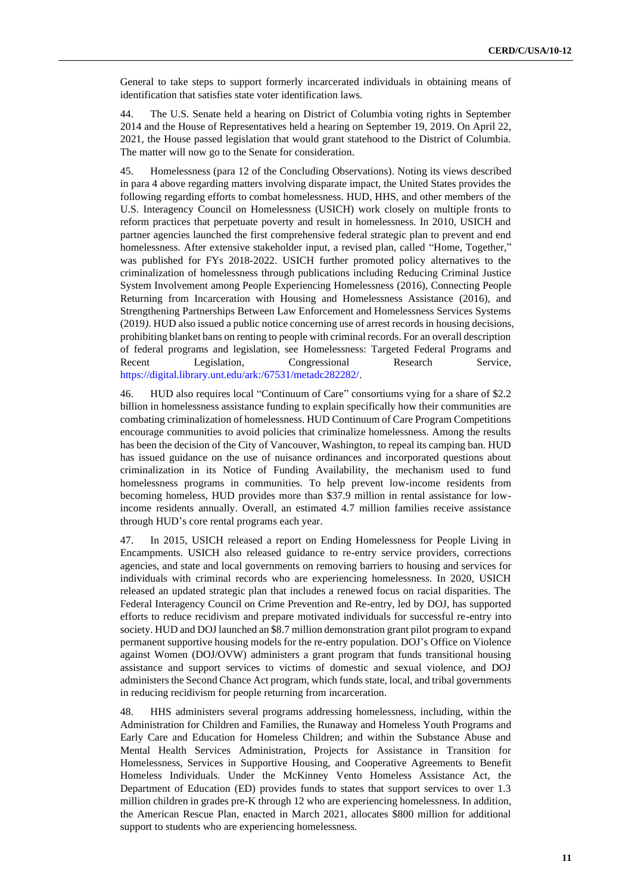General to take steps to support formerly incarcerated individuals in obtaining means of identification that satisfies state voter identification laws.

44. The U.S. Senate held a hearing on District of Columbia voting rights in September 2014 and the House of Representatives held a hearing on September 19, 2019. On April 22, 2021, the House passed legislation that would grant statehood to the District of Columbia. The matter will now go to the Senate for consideration.

45. Homelessness (para 12 of the Concluding Observations). Noting its views described in para 4 above regarding matters involving disparate impact, the United States provides the following regarding efforts to combat homelessness. HUD, HHS, and other members of the U.S. Interagency Council on Homelessness (USICH) work closely on multiple fronts to reform practices that perpetuate poverty and result in homelessness. In 2010, USICH and partner agencies launched the first comprehensive federal strategic plan to prevent and end homelessness. After extensive stakeholder input, a revised plan, called "Home, Together," was published for FYs 2018-2022. USICH further promoted policy alternatives to the criminalization of homelessness through publications including Reducing Criminal Justice System Involvement among People Experiencing Homelessness (2016), Connecting People Returning from Incarceration with Housing and Homelessness Assistance (2016), and Strengthening Partnerships Between Law Enforcement and Homelessness Services Systems (2019*)*. HUD also issued a public notice concerning use of arrest records in housing decisions, prohibiting blanket bans on renting to people with criminal records. For an overall description of federal programs and legislation, see Homelessness: Targeted Federal Programs and Recent Legislation, Congressional Research Service, [https://digital.library.unt.edu/ark:/67531/metadc282282/.](https://digital.library.unt.edu/ark:/67531/metadc282282/)

46. HUD also requires local "Continuum of Care" consortiums vying for a share of \$2.2 billion in homelessness assistance funding to explain specifically how their communities are combating criminalization of homelessness. HUD Continuum of Care Program Competitions encourage communities to avoid policies that criminalize homelessness. Among the results has been the decision of the City of Vancouver, Washington, to repeal its camping ban. HUD has issued guidance on the use of nuisance ordinances and incorporated questions about criminalization in its Notice of Funding Availability, the mechanism used to fund homelessness programs in communities. To help prevent low-income residents from becoming homeless, HUD provides more than \$37.9 million in rental assistance for lowincome residents annually. Overall, an estimated 4.7 million families receive assistance through HUD's core rental programs each year.

47. In 2015, USICH released a report on Ending Homelessness for People Living in Encampments. USICH also released guidance to re-entry service providers, corrections agencies, and state and local governments on removing barriers to housing and services for individuals with criminal records who are experiencing homelessness. In 2020, USICH released an updated strategic plan that includes a renewed focus on racial disparities. The Federal Interagency Council on Crime Prevention and Re-entry, led by DOJ, has supported efforts to reduce recidivism and prepare motivated individuals for successful re-entry into society. HUD and DOJ launched an \$8.7 million demonstration grant pilot program to expand permanent supportive housing models for the re-entry population. DOJ's Office on Violence against Women (DOJ/OVW) administers a grant program that funds transitional housing assistance and support services to victims of domestic and sexual violence, and DOJ administers the Second Chance Act program, which funds state, local, and tribal governments in reducing recidivism for people returning from incarceration.

48. HHS administers several programs addressing homelessness, including, within the Administration for Children and Families, the Runaway and Homeless Youth Programs and Early Care and Education for Homeless Children; and within the Substance Abuse and Mental Health Services Administration, Projects for Assistance in Transition for Homelessness, Services in Supportive Housing, and Cooperative Agreements to Benefit Homeless Individuals. Under the McKinney Vento Homeless Assistance Act, the Department of Education (ED) provides funds to states that support services to over 1.3 million children in grades pre-K through 12 who are experiencing homelessness. In addition, the American Rescue Plan, enacted in March 2021, allocates \$800 million for additional support to students who are experiencing homelessness.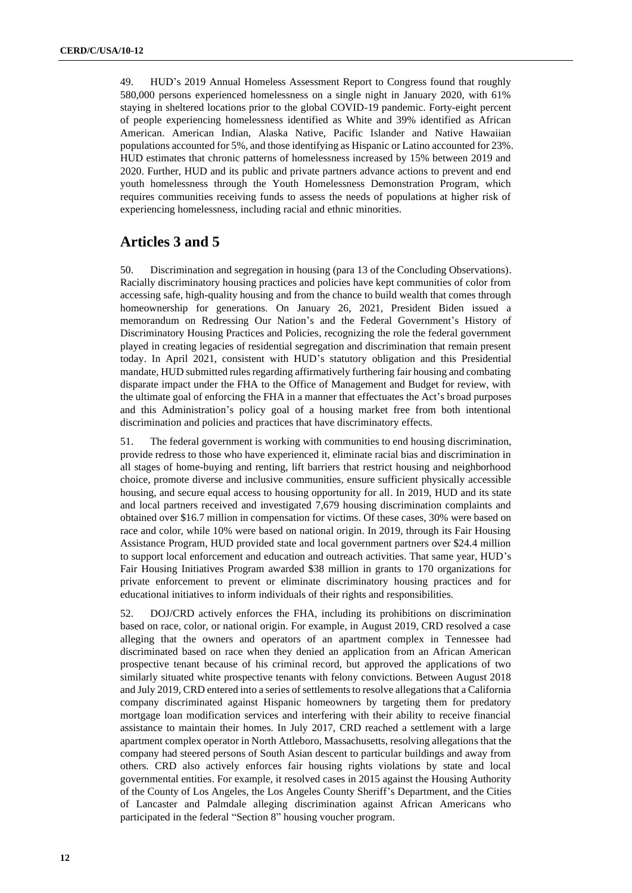49. HUD's 2019 Annual Homeless Assessment Report to Congress found that roughly 580,000 persons experienced homelessness on a single night in January 2020, with 61% staying in sheltered locations prior to the global COVID-19 pandemic. Forty-eight percent of people experiencing homelessness identified as White and 39% identified as African American. American Indian, Alaska Native, Pacific Islander and Native Hawaiian populations accounted for 5%, and those identifying as Hispanic or Latino accounted for 23%. HUD estimates that chronic patterns of homelessness increased by 15% between 2019 and 2020. Further, HUD and its public and private partners advance actions to prevent and end youth homelessness through the Youth Homelessness Demonstration Program, which requires communities receiving funds to assess the needs of populations at higher risk of experiencing homelessness, including racial and ethnic minorities.

## **Articles 3 and 5**

50. Discrimination and segregation in housing (para 13 of the Concluding Observations). Racially discriminatory housing practices and policies have kept communities of color from accessing safe, high-quality housing and from the chance to build wealth that comes through homeownership for generations. On January 26, 2021, President Biden issued a memorandum on Redressing Our Nation's and the Federal Government's History of Discriminatory Housing Practices and Policies*,* recognizing the role the federal government played in creating legacies of residential segregation and discrimination that remain present today. In April 2021, consistent with HUD's statutory obligation and this Presidential mandate, HUD submitted rules regarding affirmatively furthering fair housing and combating disparate impact under the FHA to the Office of Management and Budget for review, with the ultimate goal of enforcing the FHA in a manner that effectuates the Act's broad purposes and this Administration's policy goal of a housing market free from both intentional discrimination and policies and practices that have discriminatory effects.

51. The federal government is working with communities to end housing discrimination, provide redress to those who have experienced it, eliminate racial bias and discrimination in all stages of home-buying and renting, lift barriers that restrict housing and neighborhood choice, promote diverse and inclusive communities, ensure sufficient physically accessible housing, and secure equal access to housing opportunity for all. In 2019, HUD and its state and local partners received and investigated 7,679 housing discrimination complaints and obtained over \$16.7 million in compensation for victims. Of these cases, 30% were based on race and color, while 10% were based on national origin. In 2019, through its Fair Housing Assistance Program, HUD provided state and local government partners over \$24.4 million to support local enforcement and education and outreach activities. That same year, HUD's Fair Housing Initiatives Program awarded \$38 million in grants to 170 organizations for private enforcement to prevent or eliminate discriminatory housing practices and for educational initiatives to inform individuals of their rights and responsibilities.

52. DOJ/CRD actively enforces the FHA, including its prohibitions on discrimination based on race, color, or national origin. For example, in August 2019, CRD resolved a case alleging that the owners and operators of an apartment complex in Tennessee had discriminated based on race when they denied an application from an African American prospective tenant because of his criminal record, but approved the applications of two similarly situated white prospective tenants with felony convictions. Between August 2018 and July 2019, CRD entered into a series of settlements to resolve allegations that a California company discriminated against Hispanic homeowners by targeting them for predatory mortgage loan modification services and interfering with their ability to receive financial assistance to maintain their homes. In July 2017, CRD reached a settlement with a large apartment complex operator in North Attleboro, Massachusetts, resolving allegations that the company had steered persons of South Asian descent to particular buildings and away from others. CRD also actively enforces fair housing rights violations by state and local governmental entities. For example, it resolved cases in 2015 against the Housing Authority of the County of Los Angeles, the Los Angeles County Sheriff's Department, and the Cities of Lancaster and Palmdale alleging discrimination against African Americans who participated in the federal "Section 8" housing voucher program.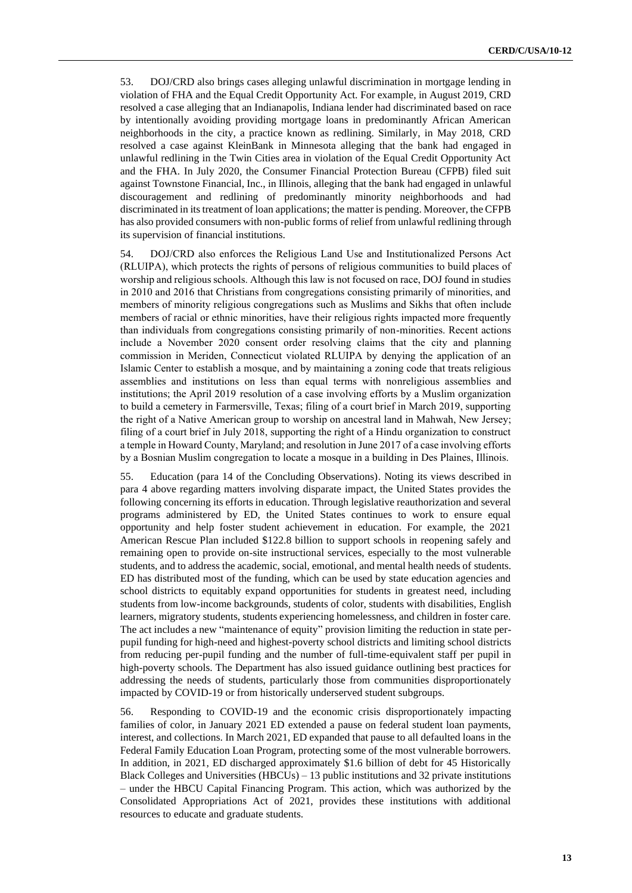53. DOJ/CRD also brings cases alleging unlawful discrimination in mortgage lending in violation of FHA and the Equal Credit Opportunity Act. For example, in August 2019, CRD resolved a case alleging that an Indianapolis, Indiana lender had discriminated based on race by intentionally avoiding providing mortgage loans in predominantly African American neighborhoods in the city, a practice known as redlining. Similarly, in May 2018, CRD resolved a case against KleinBank in Minnesota alleging that the bank had engaged in unlawful redlining in the Twin Cities area in violation of the Equal Credit Opportunity Act and the FHA. In July 2020, the Consumer Financial Protection Bureau (CFPB) filed suit against Townstone Financial, Inc., in Illinois, alleging that the bank had engaged in unlawful discouragement and redlining of predominantly minority neighborhoods and had discriminated in its treatment of loan applications; the matter is pending. Moreover, the CFPB has also provided consumers with non-public forms of relief from unlawful redlining through its supervision of financial institutions.

54. DOJ/CRD also enforces the Religious Land Use and Institutionalized Persons Act (RLUIPA), which protects the rights of persons of religious communities to build places of worship and religious schools. Although this law is not focused on race, DOJ found in studies in 2010 and 2016 that Christians from congregations consisting primarily of minorities, and members of minority religious congregations such as Muslims and Sikhs that often include members of racial or ethnic minorities, have their religious rights impacted more frequently than individuals from congregations consisting primarily of non-minorities. Recent actions include a November 2020 consent order resolving claims that the city and planning commission in Meriden, Connecticut violated RLUIPA by denying the application of an Islamic Center to establish a mosque, and by maintaining a zoning code that treats religious assemblies and institutions on less than equal terms with nonreligious assemblies and institutions; the April 2019 resolution of a case involving efforts by a Muslim organization to build a cemetery in Farmersville, Texas; filing of a court brief in March 2019, supporting the right of a Native American group to worship on ancestral land in Mahwah, New Jersey; filing of a court brief in July 2018, supporting the right of a Hindu organization to construct a temple in Howard County, Maryland; and resolution in June 2017 of a case involving efforts by a Bosnian Muslim congregation to locate a mosque in a building in Des Plaines, Illinois.

55. Education (para 14 of the Concluding Observations). Noting its views described in para 4 above regarding matters involving disparate impact, the United States provides the following concerning its efforts in education. Through legislative reauthorization and several programs administered by ED, the United States continues to work to ensure equal opportunity and help foster student achievement in education. For example, the 2021 American Rescue Plan included \$122.8 billion to support schools in reopening safely and remaining open to provide on-site instructional services, especially to the most vulnerable students, and to address the academic, social, emotional, and mental health needs of students. ED has distributed most of the funding, which can be used by state education agencies and school districts to equitably expand opportunities for students in greatest need, including students from low-income backgrounds, students of color, students with disabilities, English learners, migratory students, students experiencing homelessness, and children in foster care. The act includes a new "maintenance of equity" provision limiting the reduction in state perpupil funding for high-need and highest-poverty school districts and limiting school districts from reducing per-pupil funding and the number of full-time-equivalent staff per pupil in high-poverty schools. The Department has also issued guidance outlining best practices for addressing the needs of students, particularly those from communities disproportionately impacted by COVID-19 or from historically underserved student subgroups.

56. Responding to COVID-19 and the economic crisis disproportionately impacting families of color, in January 2021 ED extended a pause on federal student loan payments, interest, and collections. In March 2021, ED expanded that pause to all defaulted loans in the Federal Family Education Loan Program, protecting some of the most vulnerable borrowers. In addition, in 2021, ED discharged approximately \$1.6 billion of debt for 45 Historically Black Colleges and Universities  $(HBCUs) - 13$  public institutions and 32 private institutions – under the HBCU Capital Financing Program. This action, which was authorized by the Consolidated Appropriations Act of 2021, provides these institutions with additional resources to educate and graduate students.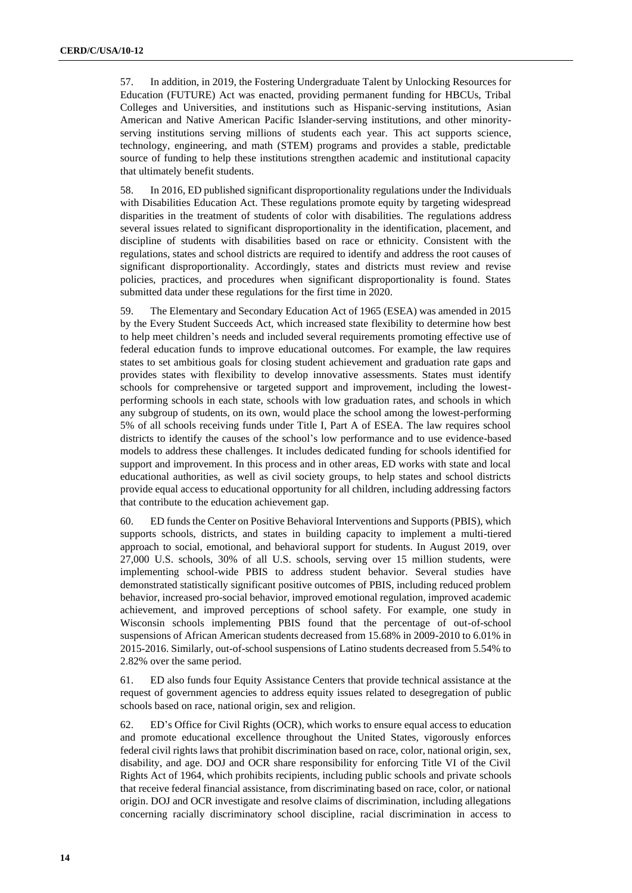57. In addition, in 2019, the Fostering Undergraduate Talent by Unlocking Resources for Education (FUTURE) Act was enacted, providing permanent funding for HBCUs, Tribal Colleges and Universities, and institutions such as Hispanic-serving institutions, Asian American and Native American Pacific Islander-serving institutions, and other minorityserving institutions serving millions of students each year. This act supports science, technology, engineering, and math (STEM) programs and provides a stable, predictable source of funding to help these institutions strengthen academic and institutional capacity that ultimately benefit students.

58. In 2016, ED published significant disproportionality regulations under the Individuals with Disabilities Education Act. These regulations promote equity by targeting widespread disparities in the treatment of students of color with disabilities. The regulations address several issues related to significant disproportionality in the identification, placement, and discipline of students with disabilities based on race or ethnicity. Consistent with the regulations, states and school districts are required to identify and address the root causes of significant disproportionality. Accordingly, states and districts must review and revise policies, practices, and procedures when significant disproportionality is found. States submitted data under these regulations for the first time in 2020.

59. The Elementary and Secondary Education Act of 1965 (ESEA) was amended in 2015 by the Every Student Succeeds Act, which increased state flexibility to determine how best to help meet children's needs and included several requirements promoting effective use of federal education funds to improve educational outcomes. For example, the law requires states to set ambitious goals for closing student achievement and graduation rate gaps and provides states with flexibility to develop innovative assessments. States must identify schools for comprehensive or targeted support and improvement, including the lowestperforming schools in each state, schools with low graduation rates, and schools in which any subgroup of students, on its own, would place the school among the lowest-performing 5% of all schools receiving funds under Title I, Part A of ESEA. The law requires school districts to identify the causes of the school's low performance and to use evidence-based models to address these challenges. It includes dedicated funding for schools identified for support and improvement. In this process and in other areas, ED works with state and local educational authorities, as well as civil society groups, to help states and school districts provide equal access to educational opportunity for all children, including addressing factors that contribute to the education achievement gap.

60. ED funds the Center on Positive Behavioral Interventions and Supports (PBIS), which supports schools, districts, and states in building capacity to implement a multi-tiered approach to social, emotional, and behavioral support for students. In August 2019, over 27,000 U.S. schools, 30% of all U.S. schools, serving over 15 million students, were implementing school-wide PBIS to address student behavior. Several studies have demonstrated statistically significant positive outcomes of PBIS, including reduced problem behavior, increased pro-social behavior, improved emotional regulation, improved academic achievement, and improved perceptions of school safety. For example, one study in Wisconsin schools implementing PBIS found that the percentage of out-of-school suspensions of African American students decreased from 15.68% in 2009-2010 to 6.01% in 2015-2016. Similarly, out-of-school suspensions of Latino students decreased from 5.54% to 2.82% over the same period.

61. ED also funds four Equity Assistance Centers that provide technical assistance at the request of government agencies to address equity issues related to desegregation of public schools based on race, national origin, sex and religion.

62. ED's Office for Civil Rights (OCR), which works to ensure equal access to education and promote educational excellence throughout the United States, vigorously enforces federal civil rights laws that prohibit discrimination based on race, color, national origin, sex, disability, and age. DOJ and OCR share responsibility for enforcing Title VI of the Civil Rights Act of 1964, which prohibits recipients, including public schools and private schools that receive federal financial assistance, from discriminating based on race, color, or national origin. DOJ and OCR investigate and resolve claims of discrimination, including allegations concerning racially discriminatory school discipline, racial discrimination in access to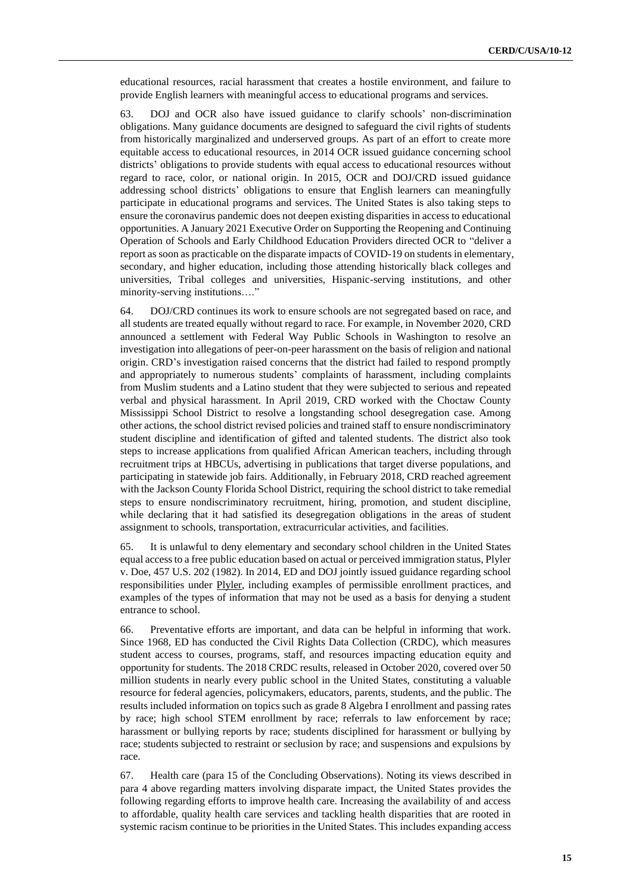educational resources, racial harassment that creates a hostile environment, and failure to provide English learners with meaningful access to educational programs and services.

63. DOJ and OCR also have issued guidance to clarify schools' non-discrimination obligations. Many guidance documents are designed to safeguard the civil rights of students from historically marginalized and underserved groups. As part of an effort to create more equitable access to educational resources, in 2014 OCR issued guidance concerning school districts' obligations to provide students with equal access to educational resources without regard to race, color, or national origin. In 2015, OCR and DOJ/CRD issued guidance addressing school districts' obligations to ensure that English learners can meaningfully participate in educational programs and services. The United States is also taking steps to ensure the coronavirus pandemic does not deepen existing disparities in access to educational opportunities. A January 2021 Executive Order on Supporting the Reopening and Continuing Operation of Schools and Early Childhood Education Providers directed OCR to "deliver a report as soon as practicable on the disparate impacts of COVID-19 on students in elementary, secondary, and higher education, including those attending historically black colleges and universities, Tribal colleges and universities, Hispanic-serving institutions, and other minority-serving institutions…."

64. DOJ/CRD continues its work to ensure schools are not segregated based on race, and all students are treated equally without regard to race. For example, in November 2020, CRD announced a settlement with Federal Way Public Schools in Washington to resolve an investigation into allegations of peer-on-peer harassment on the basis of religion and national origin. CRD's investigation raised concerns that the district had failed to respond promptly and appropriately to numerous students' complaints of harassment, including complaints from Muslim students and a Latino student that they were subjected to serious and repeated verbal and physical harassment. In April 2019, CRD worked with the Choctaw County Mississippi School District to resolve a longstanding school desegregation case. Among other actions, the school district revised policies and trained staff to ensure nondiscriminatory student discipline and identification of gifted and talented students. The district also took steps to increase applications from qualified African American teachers, including through recruitment trips at HBCUs, advertising in publications that target diverse populations, and participating in statewide job fairs. Additionally, in February 2018, CRD reached agreement with the Jackson County Florida School District, requiring the school district to take remedial steps to ensure nondiscriminatory recruitment, hiring, promotion, and student discipline, while declaring that it had satisfied its desegregation obligations in the areas of student assignment to schools, transportation, extracurricular activities, and facilities.

65. It is unlawful to deny elementary and secondary school children in the United States equal access to a free public education based on actual or perceived immigration status, Plyler v. Doe, 457 U.S. 202 (1982). In 2014, ED and DOJ jointly issued guidance regarding school responsibilities under Plyler, including examples of permissible enrollment practices, and examples of the types of information that may not be used as a basis for denying a student entrance to school.

66. Preventative efforts are important, and data can be helpful in informing that work. Since 1968, ED has conducted the Civil Rights Data Collection (CRDC), which measures student access to courses, programs, staff, and resources impacting education equity and opportunity for students. The 2018 CRDC results, released in October 2020, covered over 50 million students in nearly every public school in the United States, constituting a valuable resource for federal agencies, policymakers, educators, parents, students, and the public. The results included information on topics such as grade 8 Algebra I enrollment and passing rates by race; high school STEM enrollment by race; referrals to law enforcement by race; harassment or bullying reports by race; students disciplined for harassment or bullying by race; students subjected to restraint or seclusion by race; and suspensions and expulsions by race.

67. Health care (para 15 of the Concluding Observations). Noting its views described in para 4 above regarding matters involving disparate impact, the United States provides the following regarding efforts to improve health care. Increasing the availability of and access to affordable, quality health care services and tackling health disparities that are rooted in systemic racism continue to be priorities in the United States. This includes expanding access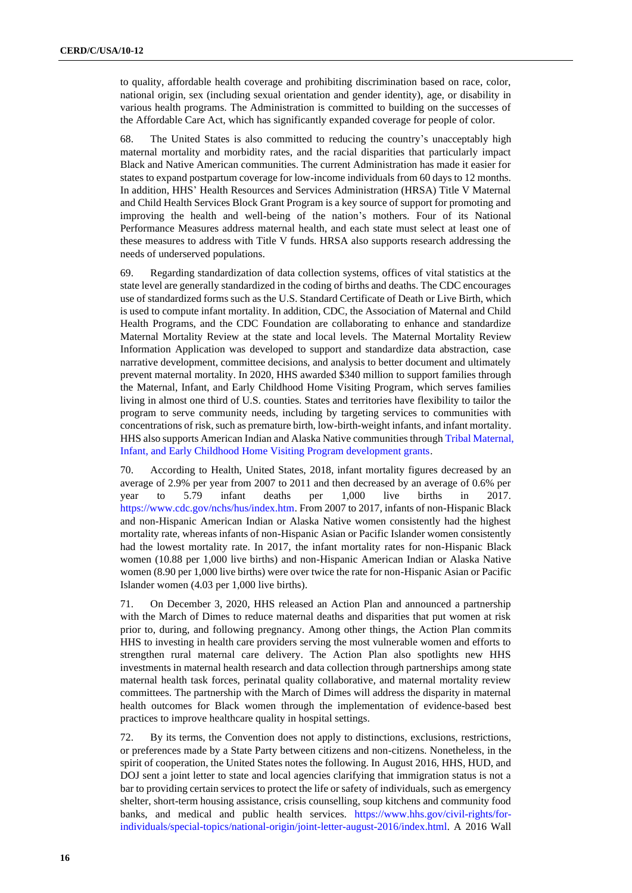to quality, affordable health coverage and prohibiting discrimination based on race, color, national origin, sex (including sexual orientation and gender identity), age, or disability in various health programs. The Administration is committed to building on the successes of the Affordable Care Act, which has significantly expanded coverage for people of color.

68. The United States is also committed to reducing the country's unacceptably high maternal mortality and morbidity rates, and the racial disparities that particularly impact Black and Native American communities. The current Administration has made it easier for states to expand postpartum coverage for low-income individuals from 60 days to 12 months. In addition, HHS' Health Resources and Services Administration (HRSA) Title V Maternal and Child Health Services Block Grant Program is a key source of support for promoting and improving the health and well-being of the nation's mothers. Four of its National Performance Measures address maternal health, and each state must select at least one of these measures to address with Title V funds. HRSA also supports research addressing the needs of underserved populations.

69. Regarding standardization of data collection systems, offices of vital statistics at the state level are generally standardized in the coding of births and deaths. The CDC encourages use of standardized forms such as the U.S. Standard Certificate of Death or Live Birth, which is used to compute infant mortality. In addition, CDC, the Association of Maternal and Child Health Programs, and the CDC Foundation are collaborating to enhance and standardize Maternal Mortality Review at the state and local levels. The Maternal Mortality Review Information Application was developed to support and standardize data abstraction, case narrative development, committee decisions, and analysis to better document and ultimately prevent maternal mortality. In 2020, HHS awarded \$340 million to support families through the Maternal, Infant, and Early Childhood Home Visiting Program, which serves families living in almost one third of U.S. counties. States and territories have flexibility to tailor the program to serve community needs, including by targeting services to communities with concentrations of risk, such as premature birth, low-birth-weight infants, and infant mortality. HHS also supports American Indian and Alaska Native communities throug[h Tribal Maternal,](https://www.acf.hhs.gov/occ/initiatives/tribal-home-visiting)  [Infant, and Early Childhood Home Visiting Program development grants.](https://www.acf.hhs.gov/occ/initiatives/tribal-home-visiting)

70. According to Health, United States, 2018, infant mortality figures decreased by an average of 2.9% per year from 2007 to 2011 and then decreased by an average of 0.6% per year to 5.79 infant deaths per 1,000 live births in 2017. [https://www.cdc.gov/nchs/hus/index.htm.](https://www.cdc.gov/nchs/hus/index.htm) From 2007 to 2017, infants of non-Hispanic Black and non-Hispanic American Indian or Alaska Native women consistently had the highest mortality rate, whereas infants of non-Hispanic Asian or Pacific Islander women consistently had the lowest mortality rate. In 2017, the infant mortality rates for non-Hispanic Black women (10.88 per 1,000 live births) and non-Hispanic American Indian or Alaska Native women (8.90 per 1,000 live births) were over twice the rate for non-Hispanic Asian or Pacific Islander women (4.03 per 1,000 live births).

71. On December 3, 2020, HHS released an Action Plan and announced a partnership with the March of Dimes to reduce maternal deaths and disparities that put women at risk prior to, during, and following pregnancy. Among other things, the Action Plan commits HHS to investing in health care providers serving the most vulnerable women and efforts to strengthen rural maternal care delivery. The Action Plan also spotlights new HHS investments in maternal health research and data collection through partnerships among state maternal health task forces, perinatal quality collaborative, and maternal mortality review committees. The partnership with the March of Dimes will address the disparity in maternal health outcomes for Black women through the implementation of evidence-based best practices to improve healthcare quality in hospital settings.

72. By its terms, the Convention does not apply to distinctions, exclusions, restrictions, or preferences made by a State Party between citizens and non-citizens. Nonetheless, in the spirit of cooperation, the United States notes the following. In August 2016, HHS, HUD, and DOJ sent a joint letter to state and local agencies clarifying that immigration status is not a bar to providing certain services to protect the life or safety of individuals, such as emergency shelter, short-term housing assistance, crisis counselling, soup kitchens and community food banks, and medical and public health services. [https://www.hhs.gov/civil-rights/for](https://www.hhs.gov/civil-rights/for-individuals/special-topics/national-origin/joint-letter-august-2016/index.html)[individuals/special-topics/national-origin/joint-letter-august-2016/index.html.](https://www.hhs.gov/civil-rights/for-individuals/special-topics/national-origin/joint-letter-august-2016/index.html) A 2016 Wall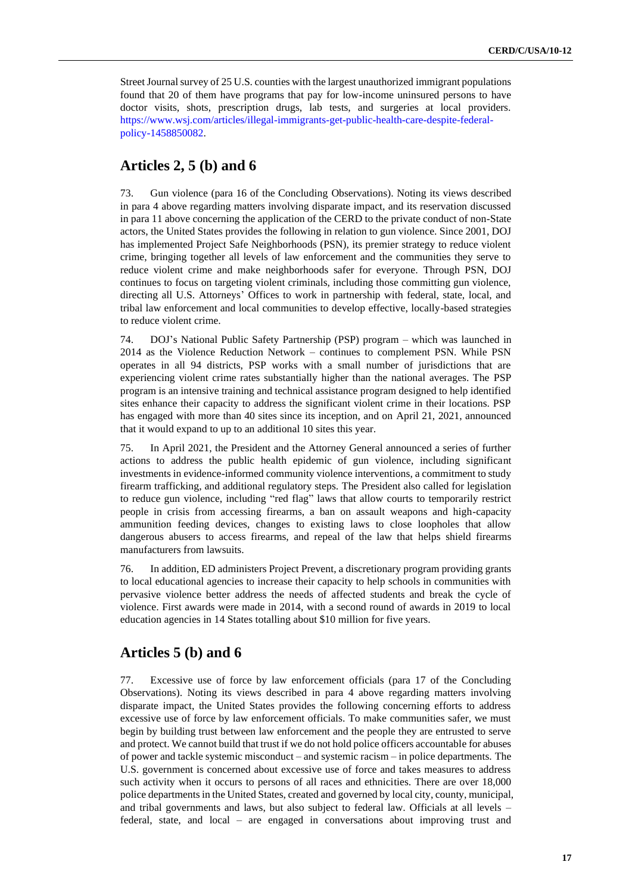Street Journal survey of 25 U.S. counties with the largest unauthorized immigrant populations found that 20 of them have programs that pay for low-income uninsured persons to have doctor visits, shots, prescription drugs, lab tests, and surgeries at local providers. [https://www.wsj.com/articles/illegal-immigrants-get-public-health-care-despite-federal](https://www.wsj.com/articles/illegal-immigrants-get-public-health-care-despite-federal-policy-1458850082)[policy-1458850082.](https://www.wsj.com/articles/illegal-immigrants-get-public-health-care-despite-federal-policy-1458850082)

## **Articles 2, 5 (b) and 6**

73. Gun violence (para 16 of the Concluding Observations). Noting its views described in para 4 above regarding matters involving disparate impact, and its reservation discussed in para 11 above concerning the application of the CERD to the private conduct of non-State actors, the United States provides the following in relation to gun violence. Since 2001, DOJ has implemented Project Safe Neighborhoods (PSN), its premier strategy to reduce violent crime, bringing together all levels of law enforcement and the communities they serve to reduce violent crime and make neighborhoods safer for everyone. Through PSN, DOJ continues to focus on targeting violent criminals, including those committing gun violence, directing all U.S. Attorneys' Offices to work in partnership with federal, state, local, and tribal law enforcement and local communities to develop effective, locally-based strategies to reduce violent crime.

74. DOJ's National Public Safety Partnership (PSP) program – which was launched in 2014 as the Violence Reduction Network – continues to complement PSN. While PSN operates in all 94 districts, PSP works with a small number of jurisdictions that are experiencing violent crime rates substantially higher than the national averages. The PSP program is an intensive training and technical assistance program designed to help identified sites enhance their capacity to address the significant violent crime in their locations. PSP has engaged with more than 40 sites since its inception, and on April 21, 2021, announced that it would expand to up to an additional 10 sites this year.

75. In April 2021, the President and the Attorney General announced a series of further actions to address the public health epidemic of gun violence, including significant investments in evidence-informed community violence interventions, a commitment to study firearm trafficking, and additional regulatory steps. The President also called for legislation to reduce gun violence, including "red flag" laws that allow courts to temporarily restrict people in crisis from accessing firearms, a ban on assault weapons and high-capacity ammunition feeding devices, changes to existing laws to close loopholes that allow dangerous abusers to access firearms, and repeal of the law that helps shield firearms manufacturers from lawsuits.

76. In addition, ED administers Project Prevent, a discretionary program providing grants to local educational agencies to increase their capacity to help schools in communities with pervasive violence better address the needs of affected students and break the cycle of violence. First awards were made in 2014, with a second round of awards in 2019 to local education agencies in 14 States totalling about \$10 million for five years.

# **Articles 5 (b) and 6**

77. Excessive use of force by law enforcement officials (para 17 of the Concluding Observations). Noting its views described in para 4 above regarding matters involving disparate impact, the United States provides the following concerning efforts to address excessive use of force by law enforcement officials. To make communities safer, we must begin by building trust between law enforcement and the people they are entrusted to serve and protect. We cannot build that trust if we do not hold police officers accountable for abuses of power and tackle systemic misconduct – and systemic racism – in police departments. The U.S. government is concerned about excessive use of force and takes measures to address such activity when it occurs to persons of all races and ethnicities. There are over 18,000 police departments in the United States, created and governed by local city, county, municipal, and tribal governments and laws, but also subject to federal law. Officials at all levels – federal, state, and local – are engaged in conversations about improving trust and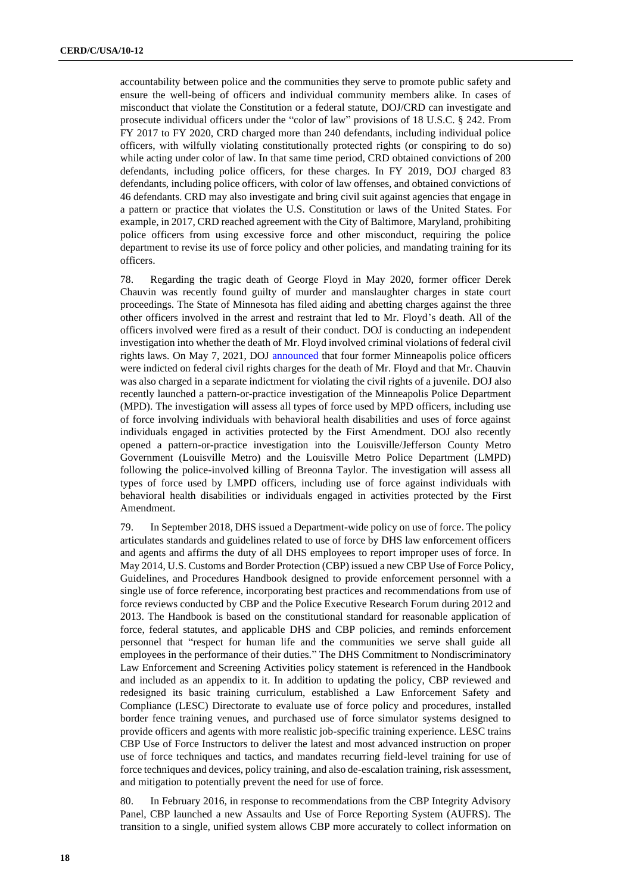accountability between police and the communities they serve to promote public safety and ensure the well-being of officers and individual community members alike. In cases of misconduct that violate the Constitution or a federal statute, DOJ/CRD can investigate and prosecute individual officers under the "color of law" provisions of 18 U.S.C. § 242. From FY 2017 to FY 2020, CRD charged more than 240 defendants, including individual police officers, with wilfully violating constitutionally protected rights (or conspiring to do so) while acting under color of law. In that same time period, CRD obtained convictions of 200 defendants, including police officers, for these charges. In FY 2019, DOJ charged 83 defendants, including police officers, with color of law offenses, and obtained convictions of 46 defendants. CRD may also investigate and bring civil suit against agencies that engage in a pattern or practice that violates the U.S. Constitution or laws of the United States. For example, in 2017, CRD reached agreement with the City of Baltimore, Maryland, prohibiting police officers from using excessive force and other misconduct, requiring the police department to revise its use of force policy and other policies, and mandating training for its officers.

78. Regarding the tragic death of George Floyd in May 2020, former officer Derek Chauvin was recently found guilty of murder and manslaughter charges in state court proceedings. The State of Minnesota has filed aiding and abetting charges against the three other officers involved in the arrest and restraint that led to Mr. Floyd's death. All of the officers involved were fired as a result of their conduct. DOJ is conducting an independent investigation into whether the death of Mr. Floyd involved criminal violations of federal civil rights laws. On May 7, 2021, DOJ [announced](https://www.justice.gov/opa/pr/four-former-minneapolis-police-officers-indicted-federal-civil-rights-charges-death-george) that four former Minneapolis police officers were indicted on federal civil rights charges for the death of Mr. Floyd and that Mr. Chauvin was also charged in a separate indictment for violating the civil rights of a juvenile. DOJ also recently launched a pattern-or-practice investigation of the Minneapolis Police Department (MPD). The investigation will assess all types of force used by MPD officers, including use of force involving individuals with behavioral health disabilities and uses of force against individuals engaged in activities protected by the First Amendment. DOJ also recently opened a pattern-or-practice investigation into the Louisville/Jefferson County Metro Government (Louisville Metro) and the Louisville Metro Police Department (LMPD) following the police-involved killing of Breonna Taylor. The investigation will assess all types of force used by LMPD officers, including use of force against individuals with behavioral health disabilities or individuals engaged in activities protected by the First Amendment.

79. In September 2018, DHS issued a Department-wide policy on use of force. The policy articulates standards and guidelines related to use of force by DHS law enforcement officers and agents and affirms the duty of all DHS employees to report improper uses of force. In May 2014, U.S. Customs and Border Protection (CBP) issued a new CBP Use of Force Policy, Guidelines, and Procedures Handbook designed to provide enforcement personnel with a single use of force reference, incorporating best practices and recommendations from use of force reviews conducted by CBP and the Police Executive Research Forum during 2012 and 2013. The Handbook is based on the constitutional standard for reasonable application of force, federal statutes, and applicable DHS and CBP policies, and reminds enforcement personnel that "respect for human life and the communities we serve shall guide all employees in the performance of their duties." The DHS Commitment to Nondiscriminatory Law Enforcement and Screening Activities policy statement is referenced in the Handbook and included as an appendix to it. In addition to updating the policy, CBP reviewed and redesigned its basic training curriculum, established a Law Enforcement Safety and Compliance (LESC) Directorate to evaluate use of force policy and procedures, installed border fence training venues, and purchased use of force simulator systems designed to provide officers and agents with more realistic job-specific training experience. LESC trains CBP Use of Force Instructors to deliver the latest and most advanced instruction on proper use of force techniques and tactics, and mandates recurring field-level training for use of force techniques and devices, policy training, and also de-escalation training, risk assessment, and mitigation to potentially prevent the need for use of force.

80. In February 2016, in response to recommendations from the CBP Integrity Advisory Panel, CBP launched a new Assaults and Use of Force Reporting System (AUFRS). The transition to a single, unified system allows CBP more accurately to collect information on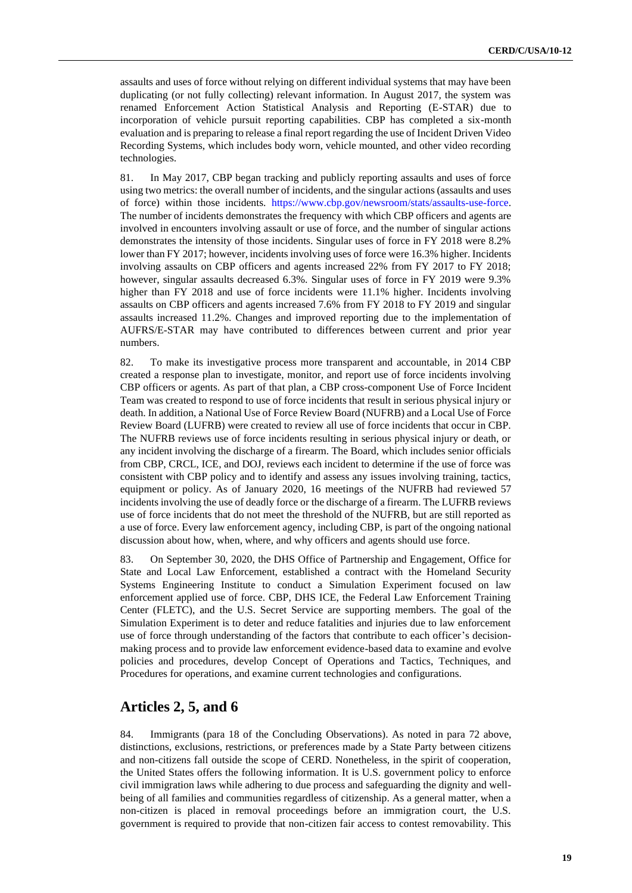assaults and uses of force without relying on different individual systems that may have been duplicating (or not fully collecting) relevant information. In August 2017, the system was renamed Enforcement Action Statistical Analysis and Reporting (E-STAR) due to incorporation of vehicle pursuit reporting capabilities. CBP has completed a six-month evaluation and is preparing to release a final report regarding the use of Incident Driven Video Recording Systems, which includes body worn, vehicle mounted, and other video recording technologies.

81. In May 2017, CBP began tracking and publicly reporting assaults and uses of force using two metrics: the overall number of incidents, and the singular actions (assaults and uses of force) within those incidents. [https://www.cbp.gov/newsroom/stats/assaults-use-force.](https://www.cbp.gov/newsroom/stats/assaults-use-force) The number of incidents demonstrates the frequency with which CBP officers and agents are involved in encounters involving assault or use of force, and the number of singular actions demonstrates the intensity of those incidents. Singular uses of force in FY 2018 were 8.2% lower than FY 2017; however, incidents involving uses of force were 16.3% higher. Incidents involving assaults on CBP officers and agents increased 22% from FY 2017 to FY 2018; however, singular assaults decreased 6.3%. Singular uses of force in FY 2019 were 9.3% higher than FY 2018 and use of force incidents were 11.1% higher. Incidents involving assaults on CBP officers and agents increased 7.6% from FY 2018 to FY 2019 and singular assaults increased 11.2%. Changes and improved reporting due to the implementation of AUFRS/E-STAR may have contributed to differences between current and prior year numbers.

82. To make its investigative process more transparent and accountable, in 2014 CBP created a response plan to investigate, monitor, and report use of force incidents involving CBP officers or agents. As part of that plan, a CBP cross-component Use of Force Incident Team was created to respond to use of force incidents that result in serious physical injury or death. In addition, a National Use of Force Review Board (NUFRB) and a Local Use of Force Review Board (LUFRB) were created to review all use of force incidents that occur in CBP. The NUFRB reviews use of force incidents resulting in serious physical injury or death, or any incident involving the discharge of a firearm. The Board, which includes senior officials from CBP, CRCL, ICE, and DOJ, reviews each incident to determine if the use of force was consistent with CBP policy and to identify and assess any issues involving training, tactics, equipment or policy. As of January 2020, 16 meetings of the NUFRB had reviewed 57 incidents involving the use of deadly force or the discharge of a firearm. The LUFRB reviews use of force incidents that do not meet the threshold of the NUFRB, but are still reported as a use of force. Every law enforcement agency, including CBP, is part of the ongoing national discussion about how, when, where, and why officers and agents should use force.

83. On September 30, 2020, the DHS Office of Partnership and Engagement, Office for State and Local Law Enforcement, established a contract with the Homeland Security Systems Engineering Institute to conduct a Simulation Experiment focused on law enforcement applied use of force. CBP, DHS ICE, the Federal Law Enforcement Training Center (FLETC), and the U.S. Secret Service are supporting members. The goal of the Simulation Experiment is to deter and reduce fatalities and injuries due to law enforcement use of force through understanding of the factors that contribute to each officer's decisionmaking process and to provide law enforcement evidence-based data to examine and evolve policies and procedures, develop Concept of Operations and Tactics, Techniques, and Procedures for operations, and examine current technologies and configurations.

## **Articles 2, 5, and 6**

84. Immigrants (para 18 of the Concluding Observations). As noted in para 72 above, distinctions, exclusions, restrictions, or preferences made by a State Party between citizens and non-citizens fall outside the scope of CERD. Nonetheless, in the spirit of cooperation, the United States offers the following information. It is U.S. government policy to enforce civil immigration laws while adhering to due process and safeguarding the dignity and wellbeing of all families and communities regardless of citizenship. As a general matter, when a non-citizen is placed in removal proceedings before an immigration court, the U.S. government is required to provide that non-citizen fair access to contest removability. This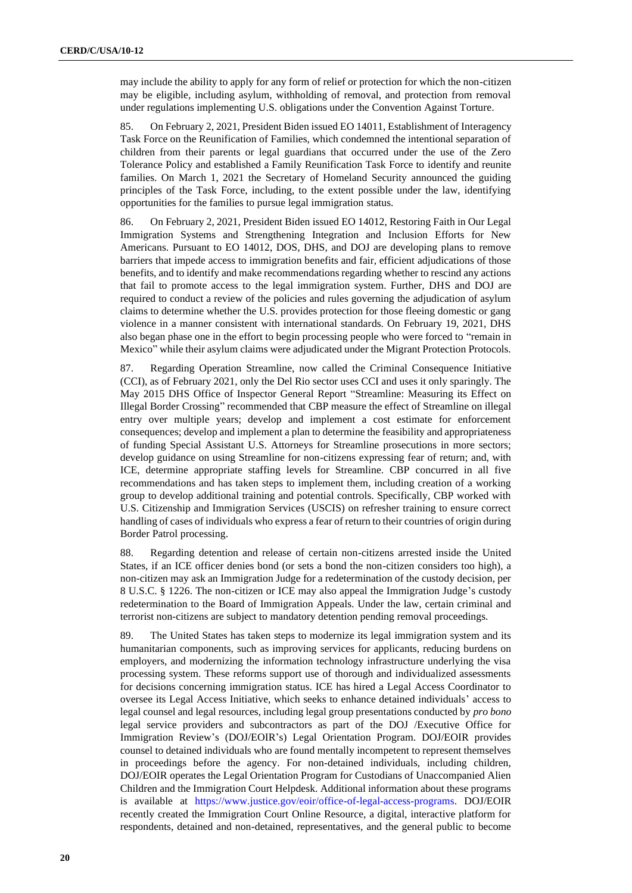may include the ability to apply for any form of relief or protection for which the non-citizen may be eligible, including asylum, withholding of removal, and protection from removal under regulations implementing U.S. obligations under the Convention Against Torture.

85. On February 2, 2021, President Biden issued EO 14011, Establishment of Interagency Task Force on the Reunification of Families, which condemned the intentional separation of children from their parents or legal guardians that occurred under the use of the Zero Tolerance Policy and established a Family Reunification Task Force to identify and reunite families. On March 1, 2021 the Secretary of Homeland Security announced the guiding principles of the Task Force, including, to the extent possible under the law, identifying opportunities for the families to pursue legal immigration status.

86. On February 2, 2021, President Biden issued EO 14012, Restoring Faith in Our Legal Immigration Systems and Strengthening Integration and Inclusion Efforts for New Americans. Pursuant to EO 14012, DOS, DHS, and DOJ are developing plans to remove barriers that impede access to immigration benefits and fair, efficient adjudications of those benefits, and to identify and make recommendations regarding whether to rescind any actions that fail to promote access to the legal immigration system. Further, DHS and DOJ are required to conduct a review of the policies and rules governing the adjudication of asylum claims to determine whether the U.S. provides protection for those fleeing domestic or gang violence in a manner consistent with international standards. On February 19, 2021, DHS also began phase one in the effort to begin processing people who were forced to "remain in Mexico" while their asylum claims were adjudicated under the Migrant Protection Protocols.

87. Regarding Operation Streamline, now called the Criminal Consequence Initiative (CCI), as of February 2021, only the Del Rio sector uses CCI and uses it only sparingly. The May 2015 DHS Office of Inspector General Report "Streamline: Measuring its Effect on Illegal Border Crossing" recommended that CBP measure the effect of Streamline on illegal entry over multiple years; develop and implement a cost estimate for enforcement consequences; develop and implement a plan to determine the feasibility and appropriateness of funding Special Assistant U.S. Attorneys for Streamline prosecutions in more sectors; develop guidance on using Streamline for non-citizens expressing fear of return; and, with ICE, determine appropriate staffing levels for Streamline. CBP concurred in all five recommendations and has taken steps to implement them, including creation of a working group to develop additional training and potential controls. Specifically, CBP worked with U.S. Citizenship and Immigration Services (USCIS) on refresher training to ensure correct handling of cases of individuals who express a fear of return to their countries of origin during Border Patrol processing.

88. Regarding detention and release of certain non-citizens arrested inside the United States, if an ICE officer denies bond (or sets a bond the non-citizen considers too high), a non-citizen may ask an Immigration Judge for a redetermination of the custody decision, per 8 U.S.C. § 1226. The non-citizen or ICE may also appeal the Immigration Judge's custody redetermination to the Board of Immigration Appeals. Under the law, certain criminal and terrorist non-citizens are subject to mandatory detention pending removal proceedings.

89. The United States has taken steps to modernize its legal immigration system and its humanitarian components, such as improving services for applicants, reducing burdens on employers, and modernizing the information technology infrastructure underlying the visa processing system. These reforms support use of thorough and individualized assessments for decisions concerning immigration status. ICE has hired a Legal Access Coordinator to oversee its Legal Access Initiative, which seeks to enhance detained individuals' access to legal counsel and legal resources, including legal group presentations conducted by *pro bono* legal service providers and subcontractors as part of the DOJ /Executive Office for Immigration Review's (DOJ/EOIR's) Legal Orientation Program. DOJ/EOIR provides counsel to detained individuals who are found mentally incompetent to represent themselves in proceedings before the agency. For non-detained individuals, including children, DOJ/EOIR operates the Legal Orientation Program for Custodians of Unaccompanied Alien Children and the Immigration Court Helpdesk. Additional information about these programs is available at [https://www.justice.gov/eoir/office-of-legal-access-programs.](https://www.justice.gov/eoir/office-of-legal-access-programs) DOJ/EOIR recently created the Immigration Court Online Resource, a digital, interactive platform for respondents, detained and non-detained, representatives, and the general public to become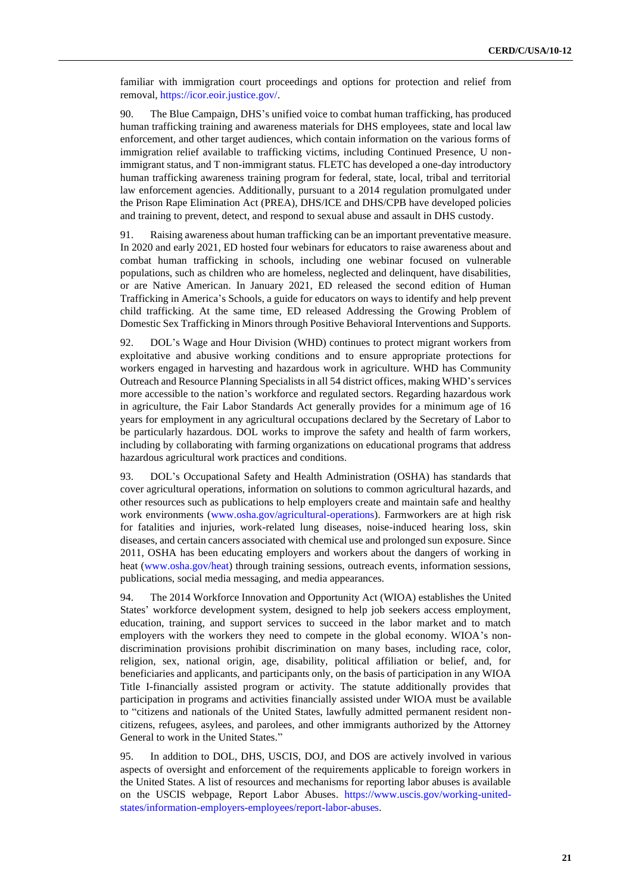familiar with immigration court proceedings and options for protection and relief from removal, [https://icor.eoir.justice.gov/.](https://icor.eoir.justice.gov/)

90. The Blue Campaign, DHS's unified voice to combat human trafficking, has produced human trafficking training and awareness materials for DHS employees, state and local law enforcement, and other target audiences, which contain information on the various forms of immigration relief available to trafficking victims, including Continued Presence, U nonimmigrant status, and T non-immigrant status. FLETC has developed a one-day introductory human trafficking awareness training program for federal, state, local, tribal and territorial law enforcement agencies. Additionally, pursuant to a 2014 regulation promulgated under the Prison Rape Elimination Act (PREA), DHS/ICE and DHS/CPB have developed policies and training to prevent, detect, and respond to sexual abuse and assault in DHS custody.

91. Raising awareness about human trafficking can be an important preventative measure. In 2020 and early 2021, ED hosted four webinars for educators to raise awareness about and combat human trafficking in schools, including one webinar focused on vulnerable populations, such as children who are homeless, neglected and delinquent, have disabilities, or are Native American. In January 2021, ED released the second edition of Human Trafficking in America's Schools, a guide for educators on ways to identify and help prevent child trafficking. At the same time, ED released Addressing the Growing Problem of Domestic Sex Trafficking in Minors through Positive Behavioral Interventions and Supports.

92. DOL's Wage and Hour Division (WHD) continues to protect migrant workers from exploitative and abusive working conditions and to ensure appropriate protections for workers engaged in harvesting and hazardous work in agriculture. WHD has Community Outreach and Resource Planning Specialists in all 54 district offices, making WHD's services more accessible to the nation's workforce and regulated sectors. Regarding hazardous work in agriculture, the Fair Labor Standards Act generally provides for a minimum age of 16 years for employment in any agricultural occupations declared by the Secretary of Labor to be particularly hazardous. DOL works to improve the safety and health of farm workers, including by collaborating with farming organizations on educational programs that address hazardous agricultural work practices and conditions.

93. DOL's Occupational Safety and Health Administration (OSHA) has standards that cover agricultural operations, information on solutions to common agricultural hazards, and other resources such as publications to help employers create and maintain safe and healthy work environments [\(www.osha.gov/agricultural-operations\)](http://www.osha.gov/agricultural-operations). Farmworkers are at high risk for fatalities and injuries, work-related lung diseases, noise-induced hearing loss, skin diseases, and certain cancers associated with chemical use and prolonged sun exposure. Since 2011, OSHA has been educating employers and workers about the dangers of working in heat [\(www.osha.gov/heat\)](http://www.osha.gov/heat) through training sessions, outreach events, information sessions, publications, social media messaging, and media appearances.

94. The 2014 Workforce Innovation and Opportunity Act (WIOA) establishes the United States' workforce development system, designed to help job seekers access employment, education, training, and support services to succeed in the labor market and to match employers with the workers they need to compete in the global economy. WIOA's nondiscrimination provisions prohibit discrimination on many bases, including race, color, religion, sex, national origin, age, disability, political affiliation or belief, and, for beneficiaries and applicants, and participants only, on the basis of participation in any WIOA Title I-financially assisted program or activity. The statute additionally provides that participation in programs and activities financially assisted under WIOA must be available to "citizens and nationals of the United States, lawfully admitted permanent resident noncitizens, refugees, asylees, and parolees, and other immigrants authorized by the Attorney General to work in the United States."

95. In addition to DOL, DHS, USCIS, DOJ, and DOS are actively involved in various aspects of oversight and enforcement of the requirements applicable to foreign workers in the United States. A list of resources and mechanisms for reporting labor abuses is available on the USCIS webpage, Report Labor Abuses. [https://www.uscis.gov/working-united](https://www.uscis.gov/working-united-states/information-employers-employees/report-labor-abuses)[states/information-employers-employees/report-labor-abuses.](https://www.uscis.gov/working-united-states/information-employers-employees/report-labor-abuses)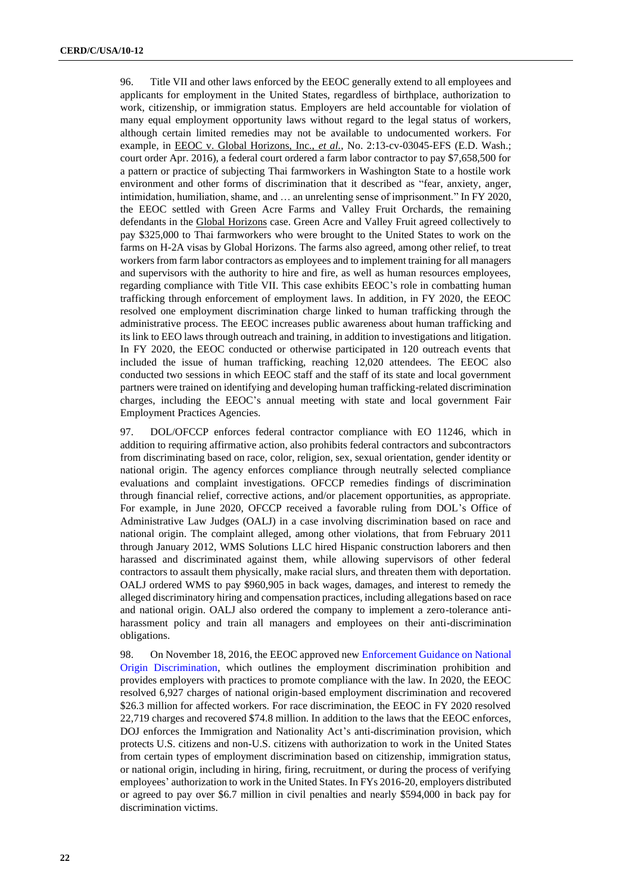96. Title VII and other laws enforced by the EEOC generally extend to all employees and applicants for employment in the United States, regardless of birthplace, authorization to work, citizenship, or immigration status. Employers are held accountable for violation of many equal employment opportunity laws without regard to the legal status of workers, although certain limited remedies may not be available to undocumented workers. For example, in EEOC v. Global Horizons, Inc., *et al.*, No. 2:13-cv-03045-EFS (E.D. Wash.; court order Apr. 2016), a federal court ordered a farm labor contractor to pay \$7,658,500 for a pattern or practice of subjecting Thai farmworkers in Washington State to a hostile work environment and other forms of discrimination that it described as "fear, anxiety, anger, intimidation, humiliation, shame, and … an unrelenting sense of imprisonment." In FY 2020, the EEOC settled with Green Acre Farms and Valley Fruit Orchards, the remaining defendants in the Global Horizons case. Green Acre and Valley Fruit agreed collectively to pay \$325,000 to Thai farmworkers who were brought to the United States to work on the farms on H-2A visas by Global Horizons. The farms also agreed, among other relief, to treat workers from farm labor contractors as employees and to implement training for all managers and supervisors with the authority to hire and fire, as well as human resources employees, regarding compliance with Title VII. This case exhibits EEOC's role in combatting human trafficking through enforcement of employment laws. In addition, in FY 2020, the EEOC resolved one employment discrimination charge linked to human trafficking through the administrative process. The EEOC increases public awareness about human trafficking and its link to EEO laws through outreach and training, in addition to investigations and litigation. In FY 2020, the EEOC conducted or otherwise participated in 120 outreach events that included the issue of human trafficking, reaching 12,020 attendees. The EEOC also conducted two sessions in which EEOC staff and the staff of its state and local government partners were trained on identifying and developing human trafficking-related discrimination charges, including the EEOC's annual meeting with state and local government Fair Employment Practices Agencies.

97. DOL/OFCCP enforces federal contractor compliance with EO 11246, which in addition to requiring affirmative action, also prohibits federal contractors and subcontractors from discriminating based on race, color, religion, sex, sexual orientation, gender identity or national origin. The agency enforces compliance through neutrally selected compliance evaluations and complaint investigations. OFCCP remedies findings of discrimination through financial relief, corrective actions, and/or placement opportunities, as appropriate. For example, in June 2020, OFCCP received a favorable ruling from DOL's Office of Administrative Law Judges (OALJ) in a case involving discrimination based on race and national origin. The complaint alleged, among other violations, that from February 2011 through January 2012, WMS Solutions LLC hired Hispanic construction laborers and then harassed and discriminated against them, while allowing supervisors of other federal contractors to assault them physically, make racial slurs, and threaten them with deportation. OALJ ordered WMS to pay \$960,905 in back wages, damages, and interest to remedy the alleged discriminatory hiring and compensation practices, including allegations based on race and national origin. OALJ also ordered the company to implement a zero-tolerance antiharassment policy and train all managers and employees on their anti-discrimination obligations.

98. On November 18, 2016, the EEOC approved new [Enforcement Guidance on National](https://www.eeoc.gov/laws/guidance/national-origin-guidance.cfm)  [Origin Discrimination,](https://www.eeoc.gov/laws/guidance/national-origin-guidance.cfm) which outlines the employment discrimination prohibition and provides employers with practices to promote compliance with the law. In 2020, the EEOC resolved 6,927 charges of national origin-based employment discrimination and recovered \$26.3 million for affected workers. For race discrimination, the EEOC in FY 2020 resolved 22,719 charges and recovered \$74.8 million. In addition to the laws that the EEOC enforces, DOJ enforces the Immigration and Nationality Act's anti-discrimination provision, which protects U.S. citizens and non-U.S. citizens with authorization to work in the United States from certain types of employment discrimination based on citizenship, immigration status, or national origin, including in hiring, firing, recruitment, or during the process of verifying employees' authorization to work in the United States. In FYs 2016-20, employers distributed or agreed to pay over \$6.7 million in civil penalties and nearly \$594,000 in back pay for discrimination victims.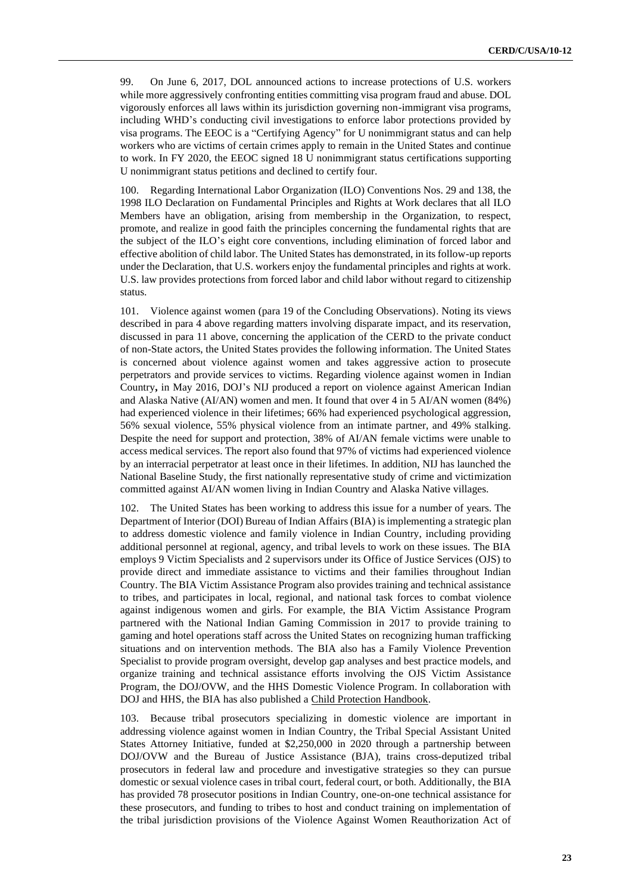99. On June 6, 2017, DOL announced actions to increase protections of U.S. workers while more aggressively confronting entities committing visa program fraud and abuse. DOL vigorously enforces all laws within its jurisdiction governing non-immigrant visa programs, including WHD's conducting civil investigations to enforce labor protections provided by visa programs. The EEOC is a "Certifying Agency" for U nonimmigrant status and can help workers who are victims of certain crimes apply to remain in the United States and continue to work. In FY 2020, the EEOC signed 18 U nonimmigrant status certifications supporting U nonimmigrant status petitions and declined to certify four.

100. Regarding International Labor Organization (ILO) Conventions Nos. 29 and 138, the 1998 ILO Declaration on Fundamental Principles and Rights at Work declares that all ILO Members have an obligation, arising from membership in the Organization, to respect, promote, and realize in good faith the principles concerning the fundamental rights that are the subject of the ILO's eight core conventions, including elimination of forced labor and effective abolition of child labor. The United States has demonstrated, in its follow-up reports under the Declaration, that U.S. workers enjoy the fundamental principles and rights at work. U.S. law provides protections from forced labor and child labor without regard to citizenship status.

101. Violence against women (para 19 of the Concluding Observations). Noting its views described in para 4 above regarding matters involving disparate impact, and its reservation, discussed in para 11 above, concerning the application of the CERD to the private conduct of non-State actors, the United States provides the following information. The United States is concerned about violence against women and takes aggressive action to prosecute perpetrators and provide services to victims. Regarding violence against women in Indian Country**,** in May 2016, DOJ's NIJ produced a report on violence against American Indian and Alaska Native (AI/AN) women and men. It found that over 4 in 5 AI/AN women (84%) had experienced violence in their lifetimes; 66% had experienced psychological aggression, 56% sexual violence, 55% physical violence from an intimate partner, and 49% stalking. Despite the need for support and protection, 38% of AI/AN female victims were unable to access medical services. The report also found that 97% of victims had experienced violence by an interracial perpetrator at least once in their lifetimes. In addition, NIJ has launched the National Baseline Study, the first nationally representative study of crime and victimization committed against AI/AN women living in Indian Country and Alaska Native villages.

102. The United States has been working to address this issue for a number of years. The Department of Interior (DOI) Bureau of Indian Affairs (BIA) is implementing a strategic plan to address domestic violence and family violence in Indian Country, including providing additional personnel at regional, agency, and tribal levels to work on these issues. The BIA employs 9 Victim Specialists and 2 supervisors under its Office of Justice Services (OJS) to provide direct and immediate assistance to victims and their families throughout Indian Country. The BIA Victim Assistance Program also provides training and technical assistance to tribes, and participates in local, regional, and national task forces to combat violence against indigenous women and girls. For example, the BIA Victim Assistance Program partnered with the National Indian Gaming Commission in 2017 to provide training to gaming and hotel operations staff across the United States on recognizing human trafficking situations and on intervention methods. The BIA also has a Family Violence Prevention Specialist to provide program oversight, develop gap analyses and best practice models, and organize training and technical assistance efforts involving the OJS Victim Assistance Program, the DOJ/OVW, and the HHS Domestic Violence Program. In collaboration with DOJ and HHS, the BIA has also published a Child Protection Handbook.

103. Because tribal prosecutors specializing in domestic violence are important in addressing violence against women in Indian Country, the Tribal Special Assistant United States Attorney Initiative, funded at \$2,250,000 in 2020 through a partnership between DOJ/OVW and the Bureau of Justice Assistance (BJA), trains cross-deputized tribal prosecutors in federal law and procedure and investigative strategies so they can pursue domestic or sexual violence cases in tribal court, federal court, or both. Additionally, the BIA has provided 78 prosecutor positions in Indian Country, one-on-one technical assistance for these prosecutors, and funding to tribes to host and conduct training on implementation of the tribal jurisdiction provisions of the Violence Against Women Reauthorization Act of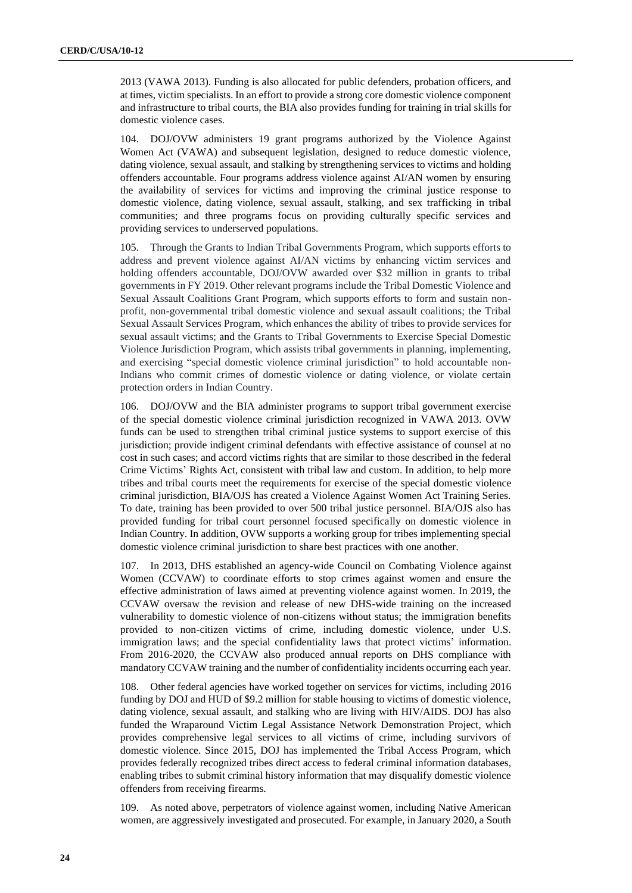2013 (VAWA 2013). Funding is also allocated for public defenders, probation officers, and at times, victim specialists. In an effort to provide a strong core domestic violence component and infrastructure to tribal courts, the BIA also provides funding for training in trial skills for domestic violence cases.

104. DOJ/OVW administers 19 grant programs authorized by the Violence Against Women Act (VAWA) and subsequent legislation, designed to reduce domestic violence, dating violence, sexual assault, and stalking by strengthening services to victims and holding offenders accountable. Four programs address violence against AI/AN women by ensuring the availability of services for victims and improving the criminal justice response to domestic violence, dating violence, sexual assault, stalking, and sex trafficking in tribal communities; and three programs focus on providing culturally specific services and providing services to underserved populations.

105. Through the Grants to Indian Tribal Governments Program, which supports efforts to address and prevent violence against AI/AN victims by enhancing victim services and holding offenders accountable, DOJ/OVW awarded over \$32 million in grants to tribal governments in FY 2019. Other relevant programs include the Tribal Domestic Violence and Sexual Assault Coalitions Grant Program, which supports efforts to form and sustain nonprofit, non-governmental tribal domestic violence and sexual assault coalitions; the Tribal Sexual Assault Services Program, which enhances the ability of tribes to provide services for sexual assault victims; and the Grants to Tribal Governments to Exercise Special Domestic Violence Jurisdiction Program, which assists tribal governments in planning, implementing, and exercising "special domestic violence criminal jurisdiction" to hold accountable non-Indians who commit crimes of domestic violence or dating violence, or violate certain protection orders in Indian Country.

106. DOJ/OVW and the BIA administer programs to support tribal government exercise of the special domestic violence criminal jurisdiction recognized in VAWA 2013. OVW funds can be used to strengthen tribal criminal justice systems to support exercise of this jurisdiction; provide indigent criminal defendants with effective assistance of counsel at no cost in such cases; and accord victims rights that are similar to those described in the federal Crime Victims' Rights Act, consistent with tribal law and custom. In addition, to help more tribes and tribal courts meet the requirements for exercise of the special domestic violence criminal jurisdiction, BIA/OJS has created a Violence Against Women Act Training Series. To date, training has been provided to over 500 tribal justice personnel. BIA/OJS also has provided funding for tribal court personnel focused specifically on domestic violence in Indian Country. In addition, OVW supports a working group for tribes implementing special domestic violence criminal jurisdiction to share best practices with one another.

107. In 2013, DHS established an agency-wide Council on Combating Violence against Women (CCVAW) to coordinate efforts to stop crimes against women and ensure the effective administration of laws aimed at preventing violence against women. In 2019, the CCVAW oversaw the revision and release of new DHS-wide training on the increased vulnerability to domestic violence of non-citizens without status; the immigration benefits provided to non-citizen victims of crime, including domestic violence, under U.S. immigration laws; and the special confidentiality laws that protect victims' information. From 2016-2020, the CCVAW also produced annual reports on DHS compliance with mandatory CCVAW training and the number of confidentiality incidents occurring each year.

108. Other federal agencies have worked together on services for victims, including 2016 funding by DOJ and HUD of \$9.2 million for stable housing to victims of domestic violence, dating violence, sexual assault, and stalking who are living with HIV/AIDS. DOJ has also funded the Wraparound Victim Legal Assistance Network Demonstration Project, which provides comprehensive legal services to all victims of crime, including survivors of domestic violence. Since 2015, DOJ has implemented the Tribal Access Program, which provides federally recognized tribes direct access to federal criminal information databases, enabling tribes to submit criminal history information that may disqualify domestic violence offenders from receiving firearms.

109. As noted above, perpetrators of violence against women, including Native American women, are aggressively investigated and prosecuted. For example, in January 2020, a South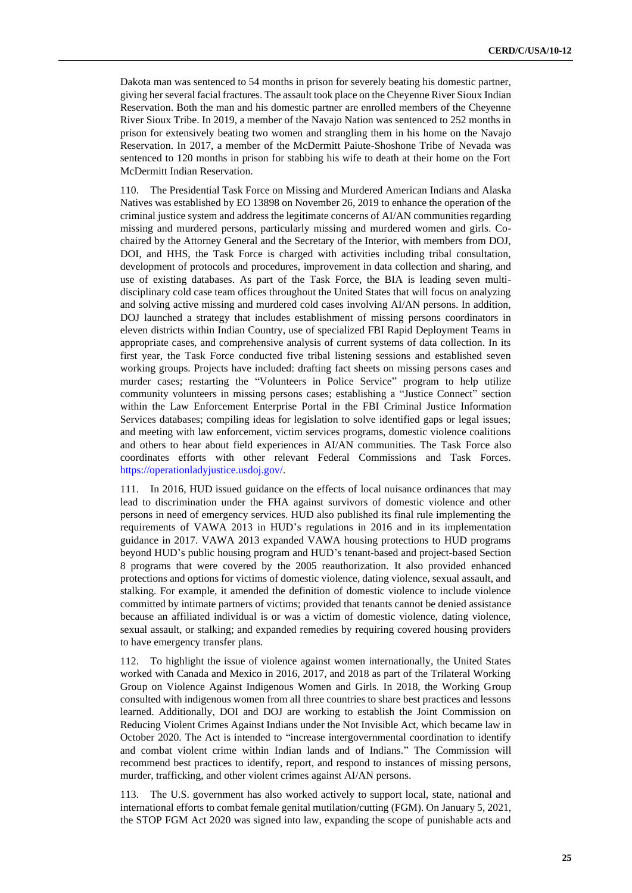Dakota man was sentenced to 54 months in prison for severely beating his domestic partner, giving her several facial fractures. The assault took place on the Cheyenne River Sioux Indian Reservation. Both the man and his domestic partner are enrolled members of the Cheyenne River Sioux Tribe. In 2019, a member of the Navajo Nation was sentenced to 252 months in prison for extensively beating two women and strangling them in his home on the Navajo Reservation. In 2017, a member of the McDermitt Paiute-Shoshone Tribe of Nevada was sentenced to 120 months in prison for stabbing his wife to death at their home on the Fort McDermitt Indian Reservation.

110. The Presidential Task Force on Missing and Murdered American Indians and Alaska Natives was established by EO 13898 on November 26, 2019 to enhance the operation of the criminal justice system and address the legitimate concerns of AI/AN communities regarding missing and murdered persons, particularly missing and murdered women and girls. Cochaired by the Attorney General and the Secretary of the Interior, with members from DOJ, DOI, and HHS, the Task Force is charged with activities including tribal consultation, development of protocols and procedures, improvement in data collection and sharing, and use of existing databases. As part of the Task Force, the BIA is leading seven multidisciplinary cold case team offices throughout the United States that will focus on analyzing and solving active missing and murdered cold cases involving AI/AN persons. In addition, DOJ launched a strategy that includes establishment of missing persons coordinators in eleven districts within Indian Country, use of specialized FBI Rapid Deployment Teams in appropriate cases, and comprehensive analysis of current systems of data collection. In its first year, the Task Force conducted five tribal listening sessions and established seven working groups. Projects have included: drafting fact sheets on missing persons cases and murder cases; restarting the "Volunteers in Police Service" program to help utilize community volunteers in missing persons cases; establishing a "Justice Connect" section within the Law Enforcement Enterprise Portal in the FBI Criminal Justice Information Services databases; compiling ideas for legislation to solve identified gaps or legal issues; and meeting with law enforcement, victim services programs, domestic violence coalitions and others to hear about field experiences in AI/AN communities. The Task Force also coordinates efforts with other relevant Federal Commissions and Task Forces. [https://operationladyjustice.usdoj.gov/.](https://operationladyjustice.usdoj.gov/)

111. In 2016, HUD issued guidance on the effects of local nuisance ordinances that may lead to discrimination under the FHA against survivors of domestic violence and other persons in need of emergency services. HUD also published its final rule implementing the requirements of VAWA 2013 in HUD's regulations in 2016 and in its implementation guidance in 2017. VAWA 2013 expanded VAWA housing protections to HUD programs beyond HUD's public housing program and HUD's tenant-based and project-based Section 8 programs that were covered by the 2005 reauthorization. It also provided enhanced protections and options for victims of domestic violence, dating violence, sexual assault, and stalking. For example, it amended the definition of domestic violence to include violence committed by intimate partners of victims; provided that tenants cannot be denied assistance because an affiliated individual is or was a victim of domestic violence, dating violence, sexual assault, or stalking; and expanded remedies by requiring covered housing providers to have emergency transfer plans.

112. To highlight the issue of violence against women internationally, the United States worked with Canada and Mexico in 2016, 2017, and 2018 as part of the Trilateral Working Group on Violence Against Indigenous Women and Girls. In 2018, the Working Group consulted with indigenous women from all three countries to share best practices and lessons learned. Additionally, DOI and DOJ are working to establish the Joint Commission on Reducing Violent Crimes Against Indians under the Not Invisible Act, which became law in October 2020. The Act is intended to "increase intergovernmental coordination to identify and combat violent crime within Indian lands and of Indians." The Commission will recommend best practices to identify, report, and respond to instances of missing persons, murder, trafficking, and other violent crimes against AI/AN persons.

113. The U.S. government has also worked actively to support local, state, national and international efforts to combat female genital mutilation/cutting (FGM). On January 5, 2021, the STOP FGM Act 2020 was signed into law, expanding the scope of punishable acts and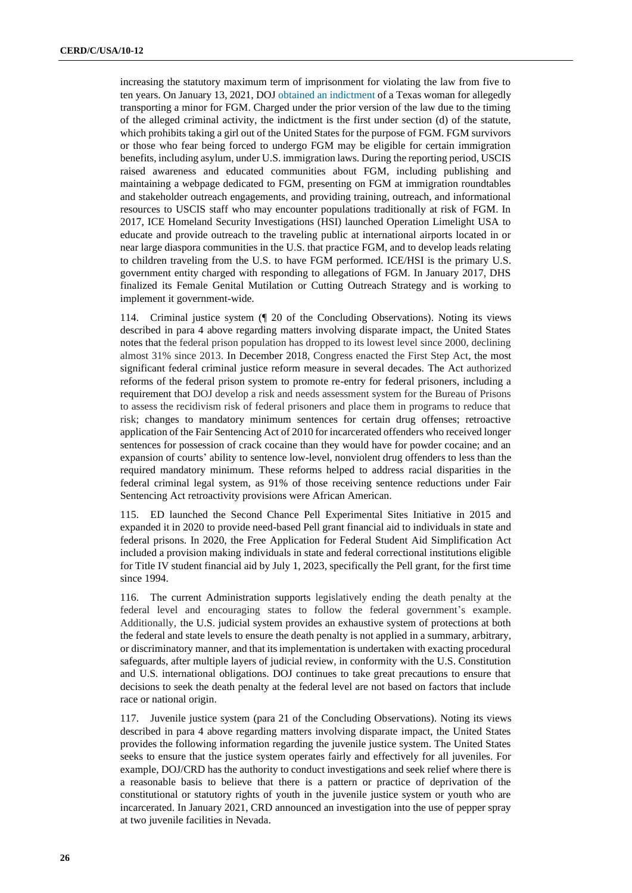increasing the statutory maximum term of imprisonment for violating the law from five to ten years. On January 13, 2021, DOJ [obtained an indictment](https://lnks.gd/l/eyJhbGciOiJIUzI1NiJ9.eyJidWxsZXRpbl9saW5rX2lkIjoxMDAsInVyaSI6ImJwMjpjbGljayIsImJ1bGxldGluX2lkIjoiMjAyMTAyMDYuMzQ3NjQyNDEiLCJ1cmwiOiJodHRwczovL3d3dy5qdXN0aWNlLmdvdi9vcGEvcHIvdGV4YXMtd29tYW4taW5kaWN0ZWQtdHJhbnNwb3J0aW5nLW1pbm9yLWZlbWFsZS1nZW5pdGFsLW11dGlsYXRpb24ifQ.ERg_icCCDPDfYPVTs64YEBEoR63Z-BUAZ1nbyHsuQoc/s/754883122/br/97181995261-l) of a Texas woman for allegedly transporting a minor for FGM. Charged under the prior version of the law due to the timing of the alleged criminal activity, the indictment is the first under section (d) of the statute, which prohibits taking a girl out of the United States for the purpose of FGM. FGM survivors or those who fear being forced to undergo FGM may be eligible for certain immigration benefits, including asylum, under U.S. immigration laws. During the reporting period, USCIS raised awareness and educated communities about FGM, including publishing and maintaining a webpage dedicated to FGM, presenting on FGM at immigration roundtables and stakeholder outreach engagements, and providing training, outreach, and informational resources to USCIS staff who may encounter populations traditionally at risk of FGM. In 2017, ICE Homeland Security Investigations (HSI) launched Operation Limelight USA to educate and provide outreach to the traveling public at international airports located in or near large diaspora communities in the U.S. that practice FGM, and to develop leads relating to children traveling from the U.S. to have FGM performed. ICE/HSI is the primary U.S. government entity charged with responding to allegations of FGM. In January 2017, DHS finalized its Female Genital Mutilation or Cutting Outreach Strategy and is working to implement it government-wide.

114. Criminal justice system (¶ 20 of the Concluding Observations). Noting its views described in para 4 above regarding matters involving disparate impact, the United States notes that the federal prison population has dropped to its lowest level since 2000, declining almost 31% since 2013. In December 2018, Congress enacted the First Step Act, the most significant federal criminal justice reform measure in several decades. The Act authorized reforms of the federal prison system to promote re-entry for federal prisoners, including a requirement that DOJ develop a risk and needs assessment system for the Bureau of Prisons to assess the recidivism risk of federal prisoners and place them in programs to reduce that risk; changes to mandatory minimum sentences for certain drug offenses; retroactive application of the Fair Sentencing Act of 2010 for incarcerated offenders who received longer sentences for possession of crack cocaine than they would have for powder cocaine; and an expansion of courts' ability to sentence low-level, nonviolent drug offenders to less than the required mandatory minimum. These reforms helped to address racial disparities in the federal criminal legal system, as 91% of those receiving sentence reductions under Fair Sentencing Act retroactivity provisions were African American.

115. ED launched the Second Chance Pell Experimental Sites Initiative in 2015 and expanded it in 2020 to provide need-based Pell grant financial aid to individuals in state and federal prisons. In 2020, the Free Application for Federal Student Aid Simplification Act included a provision making individuals in state and federal correctional institutions eligible for Title IV student financial aid by July 1, 2023, specifically the Pell grant, for the first time since 1994.

116. The current Administration supports legislatively ending the death penalty at the federal level and encouraging states to follow the federal government's example. Additionally, the U.S. judicial system provides an exhaustive system of protections at both the federal and state levels to ensure the death penalty is not applied in a summary, arbitrary, or discriminatory manner, and that its implementation is undertaken with exacting procedural safeguards, after multiple layers of judicial review, in conformity with the U.S. Constitution and U.S. international obligations. DOJ continues to take great precautions to ensure that decisions to seek the death penalty at the federal level are not based on factors that include race or national origin.

117. Juvenile justice system (para 21 of the Concluding Observations). Noting its views described in para 4 above regarding matters involving disparate impact, the United States provides the following information regarding the juvenile justice system. The United States seeks to ensure that the justice system operates fairly and effectively for all juveniles. For example, DOJ/CRD has the authority to conduct investigations and seek relief where there is a reasonable basis to believe that there is a pattern or practice of deprivation of the constitutional or statutory rights of youth in the juvenile justice system or youth who are incarcerated. In January 2021, CRD announced an investigation into the use of pepper spray at two juvenile facilities in Nevada.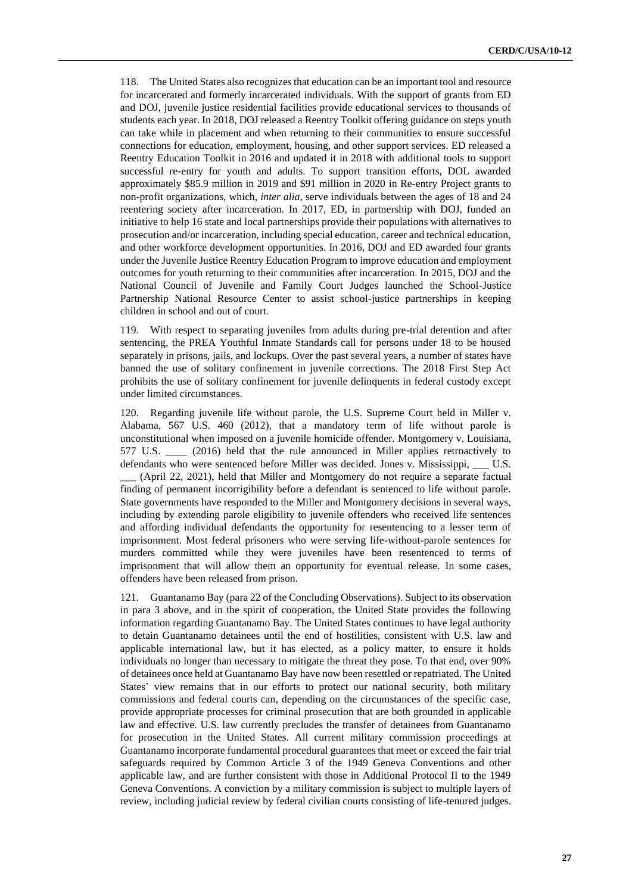118. The United States also recognizes that education can be an important tool and resource for incarcerated and formerly incarcerated individuals. With the support of grants from ED and DOJ, juvenile justice residential facilities provide educational services to thousands of students each year. In 2018, DOJ released a Reentry Toolkit offering guidance on steps youth can take while in placement and when returning to their communities to ensure successful connections for education, employment, housing, and other support services. ED released a Reentry Education Toolkit in 2016 and updated it in 2018 with additional tools to support successful re-entry for youth and adults. To support transition efforts, DOL awarded approximately \$85.9 million in 2019 and \$91 million in 2020 in Re-entry Project grants to non-profit organizations, which, *inter alia*, serve individuals between the ages of 18 and 24 reentering society after incarceration. In 2017, ED, in partnership with DOJ, funded an initiative to help 16 state and local partnerships provide their populations with alternatives to prosecution and/or incarceration, including special education, career and technical education, and other workforce development opportunities. In 2016, DOJ and ED awarded four grants under the Juvenile Justice Reentry Education Program to improve education and employment outcomes for youth returning to their communities after incarceration. In 2015, DOJ and the National Council of Juvenile and Family Court Judges launched the School-Justice Partnership National Resource Center to assist school-justice partnerships in keeping children in school and out of court.

119. With respect to separating juveniles from adults during pre-trial detention and after sentencing, the PREA Youthful Inmate Standards call for persons under 18 to be housed separately in prisons, jails, and lockups. Over the past several years, a number of states have banned the use of solitary confinement in juvenile corrections. The 2018 First Step Act prohibits the use of solitary confinement for juvenile delinquents in federal custody except under limited circumstances.

120. Regarding juvenile life without parole, the U.S. Supreme Court held in Miller v. Alabama, 567 U.S. 460 (2012), that a mandatory term of life without parole is unconstitutional when imposed on a juvenile homicide offender. Montgomery v. Louisiana, 577 U.S. \_\_\_\_ (2016) held that the rule announced in Miller applies retroactively to defendants who were sentenced before Miller was decided. Jones v. Mississippi, \_\_\_ U.S. \_\_\_ (April 22, 2021), held that Miller and Montgomery do not require a separate factual finding of permanent incorrigibility before a defendant is sentenced to life without parole. State governments have responded to the Miller and Montgomery decisions in several ways, including by extending parole eligibility to juvenile offenders who received life sentences and affording individual defendants the opportunity for resentencing to a lesser term of imprisonment. Most federal prisoners who were serving life-without-parole sentences for murders committed while they were juveniles have been resentenced to terms of imprisonment that will allow them an opportunity for eventual release. In some cases, offenders have been released from prison.

121. Guantanamo Bay (para 22 of the Concluding Observations). Subject to its observation in para 3 above, and in the spirit of cooperation, the United State provides the following information regarding Guantanamo Bay. The United States continues to have legal authority to detain Guantanamo detainees until the end of hostilities, consistent with U.S. law and applicable international law, but it has elected, as a policy matter, to ensure it holds individuals no longer than necessary to mitigate the threat they pose. To that end, over 90% of detainees once held at Guantanamo Bay have now been resettled or repatriated. The United States' view remains that in our efforts to protect our national security, both military commissions and federal courts can, depending on the circumstances of the specific case, provide appropriate processes for criminal prosecution that are both grounded in applicable law and effective. U.S. law currently precludes the transfer of detainees from Guantanamo for prosecution in the United States. All current military commission proceedings at Guantanamo incorporate fundamental procedural guarantees that meet or exceed the fair trial safeguards required by Common Article 3 of the 1949 Geneva Conventions and other applicable law, and are further consistent with those in Additional Protocol II to the 1949 Geneva Conventions. A conviction by a military commission is subject to multiple layers of review, including judicial review by federal civilian courts consisting of life-tenured judges.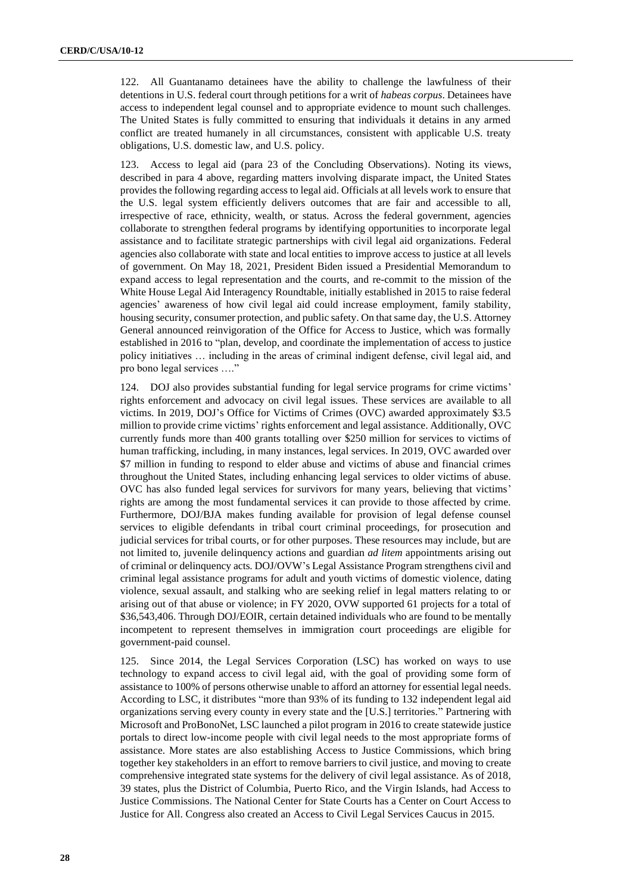122. All Guantanamo detainees have the ability to challenge the lawfulness of their detentions in U.S. federal court through petitions for a writ of *habeas corpus*. Detainees have access to independent legal counsel and to appropriate evidence to mount such challenges. The United States is fully committed to ensuring that individuals it detains in any armed conflict are treated humanely in all circumstances, consistent with applicable U.S. treaty obligations, U.S. domestic law, and U.S. policy.

123. Access to legal aid (para 23 of the Concluding Observations). Noting its views, described in para 4 above, regarding matters involving disparate impact, the United States provides the following regarding access to legal aid. Officials at all levels work to ensure that the U.S. legal system efficiently delivers outcomes that are fair and accessible to all, irrespective of race, ethnicity, wealth, or status. Across the federal government, agencies collaborate to strengthen federal programs by identifying opportunities to incorporate legal assistance and to facilitate strategic partnerships with civil legal aid organizations. Federal agencies also collaborate with state and local entities to improve access to justice at all levels of government. On May 18, 2021, President Biden issued a Presidential Memorandum to expand access to legal representation and the courts, and re-commit to the mission of the White House Legal Aid Interagency Roundtable, initially established in 2015 to raise federal agencies' awareness of how civil legal aid could increase employment, family stability, housing security, consumer protection, and public safety. On that same day, the U.S. Attorney General announced reinvigoration of the Office for Access to Justice, which was formally established in 2016 to "plan, develop, and coordinate the implementation of access to justice policy initiatives … including in the areas of criminal indigent defense, civil legal aid, and pro bono legal services …."

124. DOJ also provides substantial funding for legal service programs for crime victims' rights enforcement and advocacy on civil legal issues. These services are available to all victims. In 2019, DOJ's Office for Victims of Crimes (OVC) awarded approximately \$3.5 million to provide crime victims' rights enforcement and legal assistance. Additionally, OVC currently funds more than 400 grants totalling over \$250 million for services to victims of human trafficking, including, in many instances, legal services. In 2019, OVC awarded over \$7 million in funding to respond to elder abuse and victims of abuse and financial crimes throughout the United States, including enhancing legal services to older victims of abuse. OVC has also funded legal services for survivors for many years, believing that victims' rights are among the most fundamental services it can provide to those affected by crime. Furthermore, DOJ/BJA makes funding available for provision of legal defense counsel services to eligible defendants in tribal court criminal proceedings, for prosecution and judicial services for tribal courts, or for other purposes. These resources may include, but are not limited to, juvenile delinquency actions and guardian *ad litem* appointments arising out of criminal or delinquency acts. DOJ/OVW's Legal Assistance Program strengthens civil and criminal legal assistance programs for adult and youth victims of domestic violence, dating violence, sexual assault, and stalking who are seeking relief in legal matters relating to or arising out of that abuse or violence; in FY 2020, OVW supported 61 projects for a total of \$36,543,406. Through DOJ/EOIR, certain detained individuals who are found to be mentally incompetent to represent themselves in immigration court proceedings are eligible for government-paid counsel.

125. Since 2014, the Legal Services Corporation (LSC) has worked on ways to use technology to expand access to civil legal aid, with the goal of providing some form of assistance to 100% of persons otherwise unable to afford an attorney for essential legal needs. According to LSC, it distributes "more than 93% of its funding to 132 independent legal aid organizations serving every county in every state and the [U.S.] territories." Partnering with Microsoft and ProBonoNet, LSC launched a pilot program in 2016 to create statewide justice portals to direct low-income people with civil legal needs to the most appropriate forms of assistance. More states are also establishing Access to Justice Commissions, which bring together key stakeholders in an effort to remove barriers to civil justice, and moving to create comprehensive integrated state systems for the delivery of civil legal assistance. As of 2018, 39 states, plus the District of Columbia, Puerto Rico, and the Virgin Islands, had Access to Justice Commissions. The National Center for State Courts has a Center on Court Access to Justice for All. Congress also created an Access to Civil Legal Services Caucus in 2015.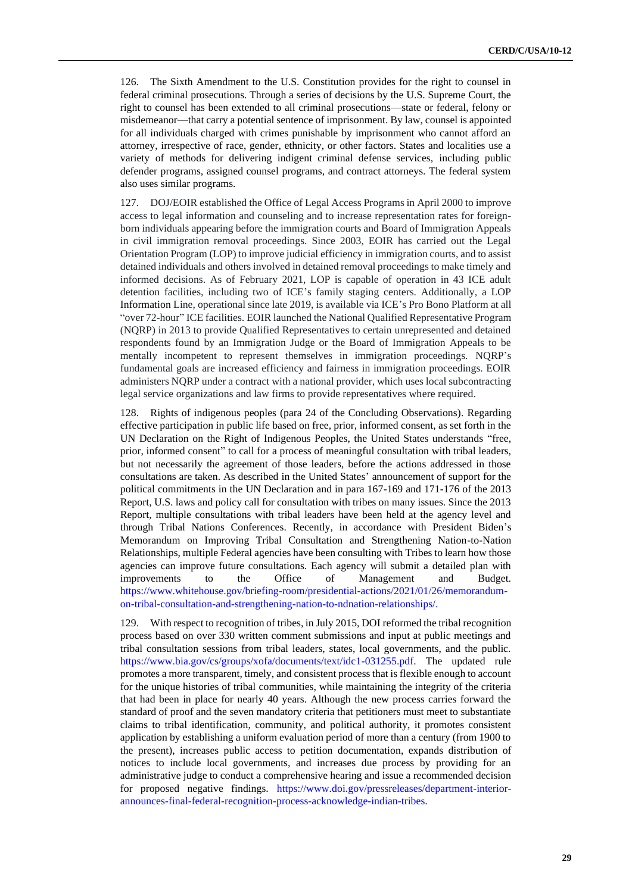126. The Sixth Amendment to the U.S. Constitution provides for the right to counsel in federal criminal prosecutions. Through a series of decisions by the U.S. Supreme Court, the right to counsel has been extended to all criminal prosecutions—state or federal, felony or misdemeanor—that carry a potential sentence of imprisonment. By law, counsel is appointed for all individuals charged with crimes punishable by imprisonment who cannot afford an attorney, irrespective of race, gender, ethnicity, or other factors. States and localities use a variety of methods for delivering indigent criminal defense services, including public defender programs, assigned counsel programs, and contract attorneys. The federal system also uses similar programs.

127. DOJ/EOIR established the Office of Legal Access Programs in April 2000 to improve access to legal information and counseling and to increase representation rates for foreignborn individuals appearing before the immigration courts and Board of Immigration Appeals in civil immigration removal proceedings. Since 2003, EOIR has carried out the Legal Orientation Program (LOP) to improve judicial efficiency in immigration courts, and to assist detained individuals and others involved in detained removal proceedings to make timely and informed decisions. As of February 2021, LOP is capable of operation in 43 ICE adult detention facilities, including two of ICE's family staging centers. Additionally, a LOP Information Line, operational since late 2019, is available via ICE's Pro Bono Platform at all "over 72-hour" ICE facilities. EOIR launched the National Qualified Representative Program (NQRP) in 2013 to provide Qualified Representatives to certain unrepresented and detained respondents found by an Immigration Judge or the Board of Immigration Appeals to be mentally incompetent to represent themselves in immigration proceedings. NQRP's fundamental goals are increased efficiency and fairness in immigration proceedings. EOIR administers NQRP under a contract with a national provider, which uses local subcontracting legal service organizations and law firms to provide representatives where required.

128. Rights of indigenous peoples (para 24 of the Concluding Observations). Regarding effective participation in public life based on free, prior, informed consent, as set forth in the UN Declaration on the Right of Indigenous Peoples, the United States understands "free, prior, informed consent" to call for a process of meaningful consultation with tribal leaders, but not necessarily the agreement of those leaders, before the actions addressed in those consultations are taken. As described in the United States' announcement of support for the political commitments in the UN Declaration and in para 167-169 and 171-176 of the 2013 Report, U.S. laws and policy call for consultation with tribes on many issues. Since the 2013 Report, multiple consultations with tribal leaders have been held at the agency level and through Tribal Nations Conferences. Recently, in accordance with President Biden's Memorandum on Improving Tribal Consultation and Strengthening Nation-to-Nation Relationships, multiple Federal agencies have been consulting with Tribes to learn how those agencies can improve future consultations. Each agency will submit a detailed plan with improvements to the Office of Management and Budget. [https://www.whitehouse.gov/briefing-room/presidential-actions/2021/01/26/memorandum](https://www.whitehouse.gov/briefing-room/presidential-actions/2021/01/26/memorandum-on-tribal-consultation-and-strengthening-nation-to-ndnation-relationships/)[on-tribal-consultation-and-strengthening-nation-to-ndnation-relationships/.](https://www.whitehouse.gov/briefing-room/presidential-actions/2021/01/26/memorandum-on-tribal-consultation-and-strengthening-nation-to-ndnation-relationships/)

129. With respect to recognition of tribes, in July 2015, DOI reformed the tribal recognition process based on over 330 written comment submissions and input at public meetings and tribal consultation sessions from tribal leaders, states, local governments, and the public. [https://www.bia.gov/cs/groups/xofa/documents/text/idc1-031255.pdf.](https://www.bia.gov/cs/groups/xofa/documents/text/idc1-031255.pdf) The updated rule promotes a more transparent, timely, and consistent process that is flexible enough to account for the unique histories of tribal communities, while maintaining the integrity of the criteria that had been in place for nearly 40 years. Although the new process carries forward the standard of proof and the seven mandatory criteria that petitioners must meet to substantiate claims to tribal identification, community, and political authority, it promotes consistent application by establishing a uniform evaluation period of more than a century (from 1900 to the present), increases public access to petition documentation, expands distribution of notices to include local governments, and increases due process by providing for an administrative judge to conduct a comprehensive hearing and issue a recommended decision for proposed negative findings. [https://www.doi.gov/pressreleases/department-interior](https://www.doi.gov/pressreleases/department-interior-announces-final-federal-recognition-process-acknowledge-indian-tribes)[announces-final-federal-recognition-process-acknowledge-indian-tribes.](https://www.doi.gov/pressreleases/department-interior-announces-final-federal-recognition-process-acknowledge-indian-tribes)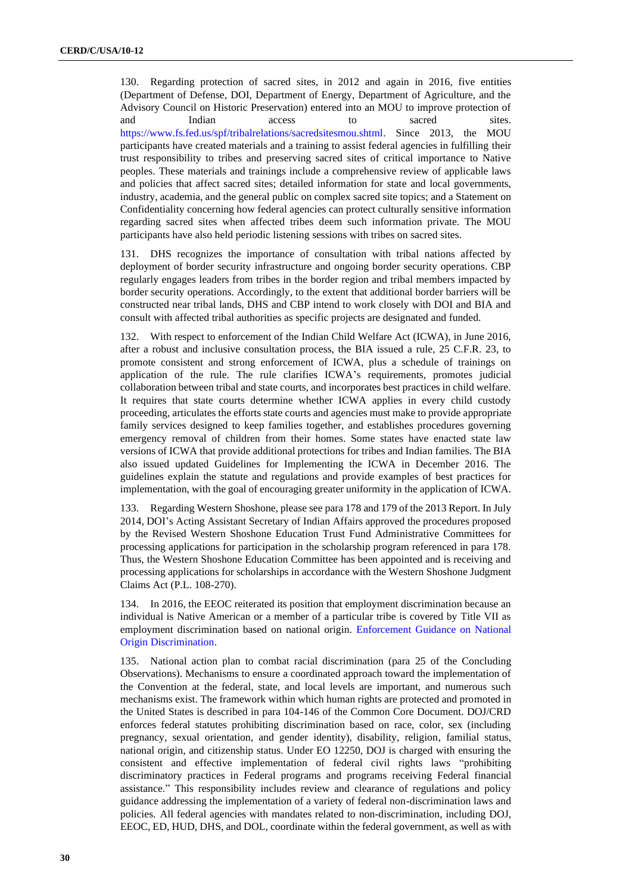130. Regarding protection of sacred sites, in 2012 and again in 2016, five entities (Department of Defense, DOI, Department of Energy, Department of Agriculture, and the Advisory Council on Historic Preservation) entered into an MOU to improve protection of and Indian access to sacred sites. [https://www.fs.fed.us/spf/tribalrelations/sacredsitesmou.shtml.](https://www.fs.fed.us/spf/tribalrelations/sacredsitesmou.shtml) Since 2013, the MOU participants have created materials and a training to assist federal agencies in fulfilling their trust responsibility to tribes and preserving sacred sites of critical importance to Native peoples. These materials and trainings include a comprehensive review of applicable laws and policies that affect sacred sites; detailed information for state and local governments, industry, academia, and the general public on complex sacred site topics; and a Statement on Confidentiality concerning how federal agencies can protect culturally sensitive information regarding sacred sites when affected tribes deem such information private. The MOU participants have also held periodic listening sessions with tribes on sacred sites.

131. DHS recognizes the importance of consultation with tribal nations affected by deployment of border security infrastructure and ongoing border security operations. CBP regularly engages leaders from tribes in the border region and tribal members impacted by border security operations. Accordingly, to the extent that additional border barriers will be constructed near tribal lands, DHS and CBP intend to work closely with DOI and BIA and consult with affected tribal authorities as specific projects are designated and funded.

132. With respect to enforcement of the Indian Child Welfare Act (ICWA), in June 2016, after a robust and inclusive consultation process, the BIA issued a rule, 25 C.F.R. 23, to promote consistent and strong enforcement of ICWA, plus a schedule of trainings on application of the rule. The rule clarifies ICWA's requirements, promotes judicial collaboration between tribal and state courts, and incorporates best practices in child welfare. It requires that state courts determine whether ICWA applies in every child custody proceeding, articulates the efforts state courts and agencies must make to provide appropriate family services designed to keep families together, and establishes procedures governing emergency removal of children from their homes. Some states have enacted state law versions of ICWA that provide additional protections for tribes and Indian families. The BIA also issued updated Guidelines for Implementing the ICWA in December 2016. The guidelines explain the statute and regulations and provide examples of best practices for implementation, with the goal of encouraging greater uniformity in the application of ICWA.

133. Regarding Western Shoshone, please see para 178 and 179 of the 2013 Report. In July 2014, DOI's Acting Assistant Secretary of Indian Affairs approved the procedures proposed by the Revised Western Shoshone Education Trust Fund Administrative Committees for processing applications for participation in the scholarship program referenced in para 178. Thus, the Western Shoshone Education Committee has been appointed and is receiving and processing applications for scholarships in accordance with the Western Shoshone Judgment Claims Act (P.L. 108-270).

134. In 2016, the EEOC reiterated its position that employment discrimination because an individual is Native American or a member of a particular tribe is covered by Title VII as employment discrimination based on national origin. [Enforcement Guidance on National](https://www.eeoc.gov/laws/guidance/national-origin-guidance.cfm)  [Origin Discrimination.](https://www.eeoc.gov/laws/guidance/national-origin-guidance.cfm)

135. National action plan to combat racial discrimination (para 25 of the Concluding Observations). Mechanisms to ensure a coordinated approach toward the implementation of the Convention at the federal, state, and local levels are important, and numerous such mechanisms exist. The framework within which human rights are protected and promoted in the United States is described in para 104-146 of the Common Core Document. DOJ/CRD enforces federal statutes prohibiting discrimination based on race, color, sex (including pregnancy, sexual orientation, and gender identity), disability, religion, familial status, national origin, and citizenship status. Under EO 12250, DOJ is charged with ensuring the consistent and effective implementation of federal civil rights laws "prohibiting discriminatory practices in Federal programs and programs receiving Federal financial assistance." This responsibility includes review and clearance of regulations and policy guidance addressing the implementation of a variety of federal non-discrimination laws and policies. All federal agencies with mandates related to non-discrimination, including DOJ, EEOC, ED, HUD, DHS, and DOL, coordinate within the federal government, as well as with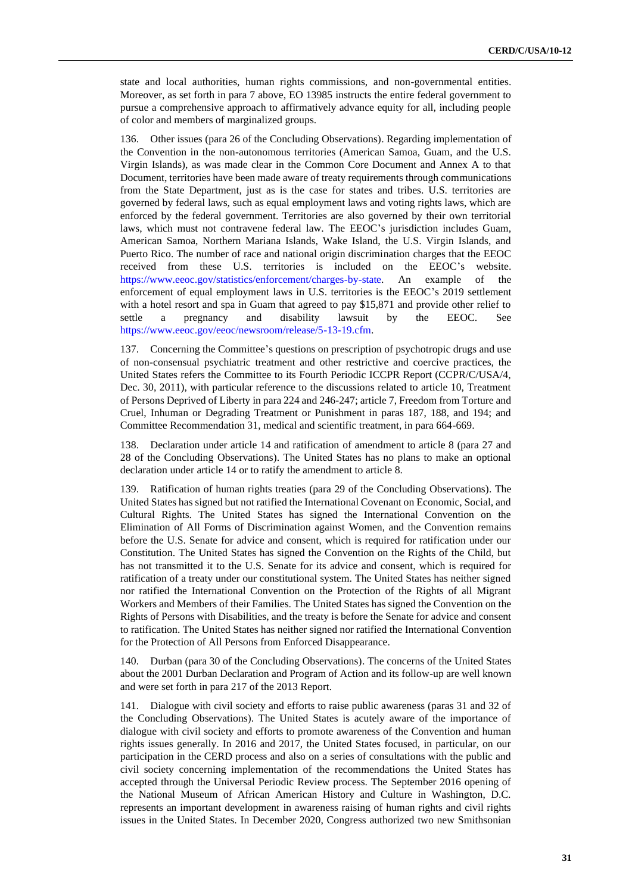state and local authorities, human rights commissions, and non-governmental entities. Moreover, as set forth in para 7 above, EO 13985 instructs the entire federal government to pursue a comprehensive approach to affirmatively advance equity for all, including people of color and members of marginalized groups.

136. Other issues (para 26 of the Concluding Observations). Regarding implementation of the Convention in the non-autonomous territories (American Samoa, Guam, and the U.S. Virgin Islands), as was made clear in the Common Core Document and Annex A to that Document, territories have been made aware of treaty requirements through communications from the State Department, just as is the case for states and tribes. U.S. territories are governed by federal laws, such as equal employment laws and voting rights laws, which are enforced by the federal government. Territories are also governed by their own territorial laws, which must not contravene federal law. The EEOC's jurisdiction includes Guam, American Samoa, Northern Mariana Islands, Wake Island, the U.S. Virgin Islands, and Puerto Rico. The number of race and national origin discrimination charges that the EEOC received from these U.S. territories is included on the EEOC's website. [https://www.eeoc.gov/statistics/enforcement/charges-by-state.](https://www.eeoc.gov/statistics/enforcement/charges-by-state) An example of the enforcement of equal employment laws in U.S. territories is the EEOC's 2019 settlement with a hotel resort and spa in Guam that agreed to pay \$15,871 and provide other relief to settle a pregnancy and disability lawsuit by the EEOC. See [https://www.eeoc.gov/eeoc/newsroom/release/5-13-19.cfm.](https://www.eeoc.gov/eeoc/newsroom/release/5-13-19.cfm)

137. Concerning the Committee's questions on prescription of psychotropic drugs and use of non-consensual psychiatric treatment and other restrictive and coercive practices, the United States refers the Committee to its Fourth Periodic ICCPR Report (CCPR/C/USA/4, Dec. 30, 2011), with particular reference to the discussions related to article 10, Treatment of Persons Deprived of Liberty in para 224 and 246-247; article 7, Freedom from Torture and Cruel, Inhuman or Degrading Treatment or Punishment in paras 187, 188, and 194; and Committee Recommendation 31, medical and scientific treatment, in para 664-669.

138. Declaration under article 14 and ratification of amendment to article 8 (para 27 and 28 of the Concluding Observations). The United States has no plans to make an optional declaration under article 14 or to ratify the amendment to article 8.

139. Ratification of human rights treaties (para 29 of the Concluding Observations). The United States has signed but not ratified the International Covenant on Economic, Social, and Cultural Rights. The United States has signed the International Convention on the Elimination of All Forms of Discrimination against Women, and the Convention remains before the U.S. Senate for advice and consent, which is required for ratification under our Constitution. The United States has signed the Convention on the Rights of the Child, but has not transmitted it to the U.S. Senate for its advice and consent, which is required for ratification of a treaty under our constitutional system. The United States has neither signed nor ratified the International Convention on the Protection of the Rights of all Migrant Workers and Members of their Families. The United States has signed the Convention on the Rights of Persons with Disabilities, and the treaty is before the Senate for advice and consent to ratification. The United States has neither signed nor ratified the International Convention for the Protection of All Persons from Enforced Disappearance.

140. Durban (para 30 of the Concluding Observations). The concerns of the United States about the 2001 Durban Declaration and Program of Action and its follow-up are well known and were set forth in para 217 of the 2013 Report.

141. Dialogue with civil society and efforts to raise public awareness (paras 31 and 32 of the Concluding Observations). The United States is acutely aware of the importance of dialogue with civil society and efforts to promote awareness of the Convention and human rights issues generally. In 2016 and 2017, the United States focused, in particular, on our participation in the CERD process and also on a series of consultations with the public and civil society concerning implementation of the recommendations the United States has accepted through the Universal Periodic Review process. The September 2016 opening of the National Museum of African American History and Culture in Washington, D.C. represents an important development in awareness raising of human rights and civil rights issues in the United States. In December 2020, Congress authorized two new Smithsonian